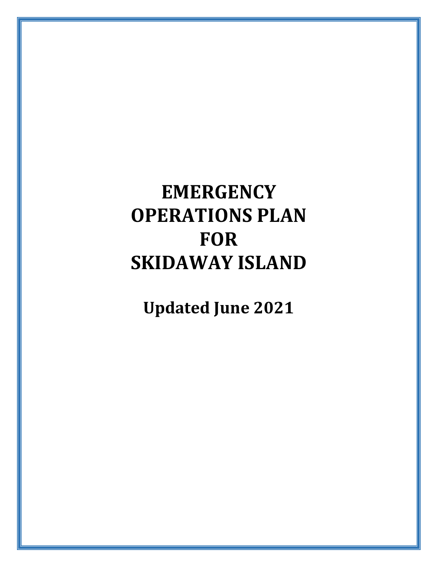# **EMERGENCY OPERATIONS PLAN FOR SKIDAWAY ISLAND**

**Updated June 2021**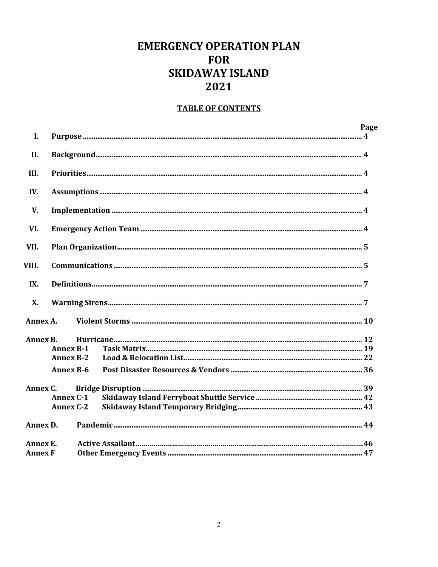# **EMERGENCY OPERATION PLAN FOR SKIDAWAY ISLAND** 2021

# **TABLE OF CONTENTS**

| <b>I.</b>      |                  |  | Page |
|----------------|------------------|--|------|
|                |                  |  |      |
| II.            |                  |  |      |
| III.           |                  |  |      |
| IV.            |                  |  |      |
| V.             |                  |  |      |
| VI.            |                  |  |      |
| VII.           |                  |  |      |
| VIII.          |                  |  |      |
| IX.            |                  |  |      |
| <b>X</b> .     |                  |  |      |
| Annex A.       |                  |  |      |
| Annex B.       |                  |  |      |
|                | <b>Annex B-1</b> |  |      |
|                | <b>Annex B-2</b> |  |      |
|                | <b>Annex B-6</b> |  |      |
| Annex C.       |                  |  |      |
|                | <b>Annex C-1</b> |  |      |
|                | <b>Annex C-2</b> |  |      |
| Annex D.       |                  |  |      |
| Annex E.       |                  |  |      |
| <b>Annex F</b> |                  |  |      |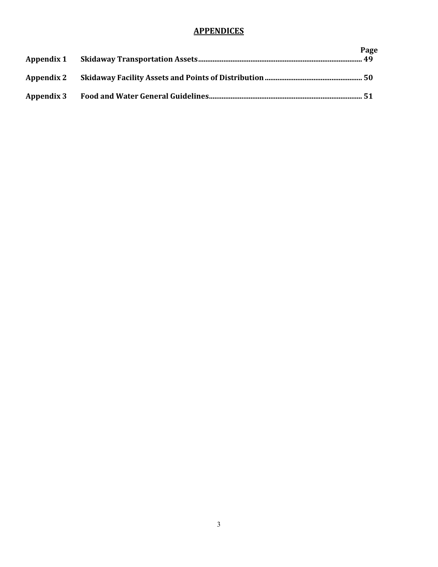# **APPENDICES**

|  | Page |
|--|------|
|  |      |
|  |      |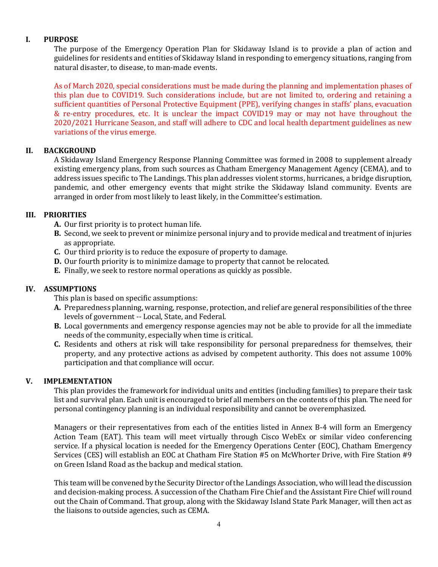#### **I. PURPOSE**

The purpose of the Emergency Operation Plan for Skidaway Island is to provide a plan of action and guidelines for residents and entities of Skidaway Island in responding to emergency situations, ranging from natural disaster, to disease, to man-made events.

As of March 2020, special considerations must be made during the planning and implementation phases of this plan due to COVID19. Such considerations include, but are not limited to, ordering and retaining a sufficient quantities of Personal Protective Equipment (PPE), verifying changes in staffs' plans, evacuation & re-entry procedures, etc. It is unclear the impact COVID19 may or may not have throughout the 2020/2021 Hurricane Season, and staff will adhere to CDC and local health department guidelines as new variations of the virus emerge.

#### **II. BACKGROUND**

A Skidaway Island Emergency Response Planning Committee was formed in 2008 to supplement already existing emergency plans, from such sources as Chatham Emergency Management Agency (CEMA), and to address issues specific to The Landings. This plan addresses violent storms, hurricanes, a bridge disruption, pandemic, and other emergency events that might strike the Skidaway Island community. Events are arranged in order from most likely to least likely, in the Committee's estimation.

#### **III. PRIORITIES**

- **A.** Our first priority is to protect human life.
- **B.** Second, we seek to prevent or minimize personal injury and to provide medical and treatment of injuries as appropriate.
- **C.** Our third priority is to reduce the exposure of property to damage.
- **D.** Our fourth priority is to minimize damage to property that cannot be relocated.
- **E.** Finally, we seek to restore normal operations as quickly as possible.

# **IV. ASSUMPTIONS**

This plan is based on specific assumptions:

- **A.** Preparedness planning, warning, response, protection, and relief are general responsibilities of the three levels of government -- Local, State, and Federal.
- **B.** Local governments and emergency response agencies may not be able to provide for all the immediate needs of the community, especially when time is critical.
- **C.** Residents and others at risk will take responsibility for personal preparedness for themselves, their property, and any protective actions as advised by competent authority. This does not assume 100% participation and that compliance will occur.

#### **V. IMPLEMENTATION**

This plan provides the framework for individual units and entities (including families) to prepare their task list and survival plan. Each unit is encouraged to brief all members on the contents of this plan. The need for personal contingency planning is an individual responsibility and cannot be overemphasized.

Managers or their representatives from each of the entities listed in Annex B-4 will form an Emergency Action Team (EAT). This team will meet virtually through Cisco WebEx or similar video conferencing service. If a physical location is needed for the Emergency Operations Center (EOC), Chatham Emergency Services (CES) will establish an EOC at Chatham Fire Station #5 on McWhorter Drive, with Fire Station #9 on Green Island Road as the backup and medical station.

This team will be convened by the Security Director of the Landings Association, who will lead the discussion and decision-making process. A succession of the Chatham Fire Chief and the Assistant Fire Chief will round out the Chain of Command. That group, along with the Skidaway Island State Park Manager, will then act as the liaisons to outside agencies, such as CEMA.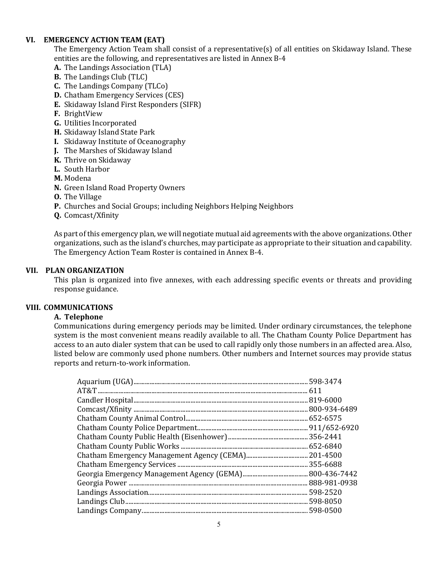#### **VI. EMERGENCY ACTION TEAM (EAT)**

The Emergency Action Team shall consist of a representative(s) of all entities on Skidaway Island. These entities are the following, and representatives are listed in Annex B-4

- **A.** The Landings Association (TLA)
- **B.** The Landings Club (TLC)
- **C.** The Landings Company (TLCo)
- **D.** Chatham Emergency Services (CES)
- **E.** Skidaway Island First Responders (SIFR)
- **F.** BrightView
- **G.** Utilities Incorporated
- **H.** Skidaway Island State Park
- **I.** Skidaway Institute of Oceanography
- **J.** The Marshes of Skidaway Island
- **K.** Thrive on Skidaway
- **L.** South Harbor
- **M.** Modena
- **N.** Green Island Road Property Owners
- **O.** The Village
- **P.** Churches and Social Groups; including Neighbors Helping Neighbors
- **Q.** Comcast/Xfinity

As part of this emergency plan, we will negotiate mutual aid agreements with the above organizations. Other organizations, such as the island's churches, may participate as appropriate to their situation and capability. The Emergency Action Team Roster is contained in Annex B-4.

#### **VII. PLAN ORGANIZATION**

This plan is organized into five annexes, with each addressing specific events or threats and providing response guidance.

#### **VIII. COMMUNICATIONS**

#### **A. Telephone**

Communications during emergency periods may be limited. Under ordinary circumstances, the telephone system is the most convenient means readily available to all. The Chatham County Police Department has access to an auto dialer system that can be used to call rapidly only those numbers in an affected area. Also, listed below are commonly used phone numbers. Other numbers and Internet sources may provide status reports and return-to-work information.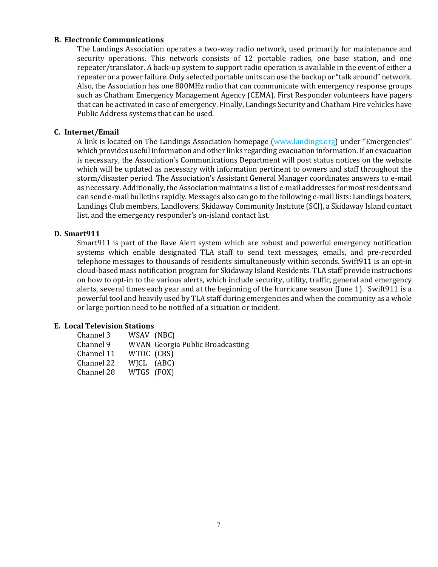#### **B. Electronic Communications**

The Landings Association operates a two-way radio network, used primarily for maintenance and security operations. This network consists of 12 portable radios, one base station, and one repeater/translator. A back-up system to support radio operation is available in the event of either a repeater or a power failure. Only selected portable units can use the backup or "talk around" network. Also, the Association has one 800MHz radio that can communicate with emergency response groups such as Chatham Emergency Management Agency (CEMA). First Responder volunteers have pagers that can be activated in case of emergency. Finally, Landings Security and Chatham Fire vehicles have Public Address systems that can be used.

#### **C. Internet/Email**

A link is located on The Landings Association homepage [\(www.landings.org\)](http://www.landings.org/) under "Emergencies" which provides useful information and other links regarding evacuation information. If an evacuation is necessary, the Association's Communications Department will post status notices on the website which will be updated as necessary with information pertinent to owners and staff throughout the storm/disaster period. The Association's Assistant General Manager coordinates answers to e-mail as necessary. Additionally, the Association maintains a list of e-mail addresses for most residents and can send e-mail bulletins rapidly. Messages also can go to the following e-mail lists: Landings boaters, Landings Club members, Landlovers, Skidaway Community Institute (SCI), a Skidaway Island contact list, and the emergency responder's on-island contact list.

#### **D. Smart911**

Smart911 is part of the Rave Alert system which are robust and powerful emergency notification systems which enable designated TLA staff to send text messages, emails, and pre-recorded telephone messages to thousands of residents simultaneously within seconds. Swift911 is an opt-in cloud-based mass notification program for Skidaway Island Residents. TLA staff provide instructions on how to opt-in to the various alerts, which include security, utility, traffic, general and emergency alerts, several times each year and at the beginning of the hurricane season (June 1). Swift911 is a powerful tool and heavily used by TLA staff during emergencies and when the community as a whole or large portion need to be notified of a situation or incident.

#### **E. Local Television Stations**

| Channel 3  | WSAV (NBC) |                                         |
|------------|------------|-----------------------------------------|
| Channel 9  |            | <b>WVAN</b> Georgia Public Broadcasting |
| Channel 11 | WTOC (CBS) |                                         |
| Channel 22 | WICL (ABC) |                                         |
| Channel 28 | WTGS (FOX) |                                         |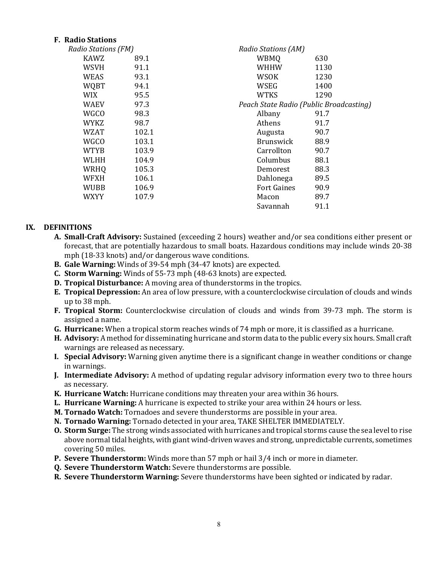#### **F. Radio Stations**

| Radio Stations (FM) |       | Radio Stations (AM)                     |      |  |  |  |
|---------------------|-------|-----------------------------------------|------|--|--|--|
| <b>KAWZ</b>         | 89.1  | <b>WBMQ</b>                             | 630  |  |  |  |
| <b>WSVH</b>         | 91.1  | WHHW                                    | 1130 |  |  |  |
| WEAS                | 93.1  | WSOK                                    | 1230 |  |  |  |
| <b>WQBT</b>         | 94.1  | WSEG                                    | 1400 |  |  |  |
| <b>WIX</b>          | 95.5  | WTKS                                    | 1290 |  |  |  |
| WAEV                | 97.3  | Peach State Radio (Public Broadcasting) |      |  |  |  |
| <b>WGCO</b>         | 98.3  | Albany                                  | 91.7 |  |  |  |
| <b>WYKZ</b>         | 98.7  | <b>Athens</b>                           | 91.7 |  |  |  |
| <b>WZAT</b>         | 102.1 | Augusta                                 | 90.7 |  |  |  |
| <b>WGCO</b>         | 103.1 | <b>Brunswick</b>                        | 88.9 |  |  |  |
| <b>WTYB</b>         | 103.9 | Carrollton                              | 90.7 |  |  |  |
| WLHH                | 104.9 | Columbus                                | 88.1 |  |  |  |
| WRHQ                | 105.3 | Demorest                                | 88.3 |  |  |  |
| <b>WFXH</b>         | 106.1 | Dahlonega                               | 89.5 |  |  |  |
| WUBB                | 106.9 | <b>Fort Gaines</b>                      | 90.9 |  |  |  |
| WXYY                | 107.9 | Macon                                   | 89.7 |  |  |  |
|                     |       | Savannah                                | 91.1 |  |  |  |

#### **IX. DEFINITIONS**

- **A. Small-Craft Advisory:** Sustained (exceeding 2 hours) weather and/or sea conditions either present or forecast, that are potentially hazardous to small boats. Hazardous conditions may include winds 20-38 mph (18-33 knots) and/or dangerous wave conditions.
- **B. Gale Warning:** Winds of 39-54 mph (34-47 knots) are expected.
- **C. Storm Warning:** Winds of 55-73 mph (48-63 knots) are expected.
- **D. Tropical Disturbance:** A moving area of thunderstorms in the tropics.
- **E. Tropical Depression:** An area of low pressure, with a counterclockwise circulation of clouds and winds up to 38 mph.
- **F. Tropical Storm:** Counterclockwise circulation of clouds and winds from 39-73 mph. The storm is assigned a name.
- **G. Hurricane:** When a tropical storm reaches winds of 74 mph or more, it is classified as a hurricane.
- **H. Advisory:** A method for disseminating hurricane and storm data to the public every six hours. Small craft warnings are released as necessary.
- **I. Special Advisory:** Warning given anytime there is a significant change in weather conditions or change in warnings.
- **J. Intermediate Advisory:** A method of updating regular advisory information every two to three hours as necessary.
- **K. Hurricane Watch:** Hurricane conditions may threaten your area within 36 hours.
- **L. Hurricane Warning:** A hurricane is expected to strike your area within 24 hours or less.
- **M. Tornado Watch:** Tornadoes and severe thunderstorms are possible in your area.
- **N. Tornado Warning:** Tornado detected in your area, TAKE SHELTER IMMEDIATELY.
- **O. Storm Surge:** The strong winds associated with hurricanes and tropical storms cause the sea level to rise above normal tidal heights, with giant wind-driven waves and strong, unpredictable currents, sometimes covering 50 miles.
- **P. Severe Thunderstorm:** Winds more than 57 mph or hail 3/4 inch or more in diameter.
- **Q. Severe Thunderstorm Watch:** Severe thunderstorms are possible.
- **R. Severe Thunderstorm Warning:** Severe thunderstorms have been sighted or indicated by radar.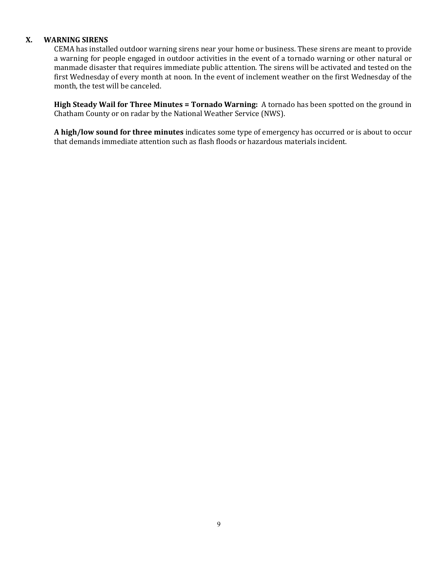#### **X. WARNING SIRENS**

CEMA has installed outdoor warning sirens near your home or business. These sirens are meant to provide a warning for people engaged in outdoor activities in the event of a tornado warning or other natural or manmade disaster that requires immediate public attention. The sirens will be activated and tested on the first Wednesday of every month at noon. In the event of inclement weather on the first Wednesday of the month, the test will be canceled.

**High Steady Wail for Three Minutes = Tornado Warning:** A tornado has been spotted on the ground in Chatham County or on radar by the National Weather Service (NWS).

**A high/low sound for three minutes** indicates some type of emergency has occurred or is about to occur that demands immediate attention such as flash floods or hazardous materials incident.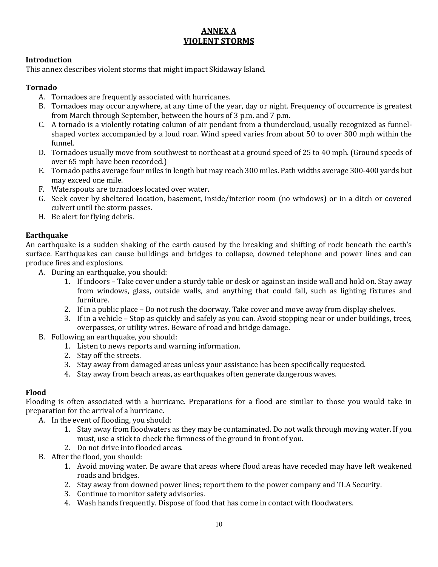# **ANNEX A VIOLENT STORMS**

#### **Introduction**

This annex describes violent storms that might impact Skidaway Island.

#### **Tornado**

- A. Tornadoes are frequently associated with hurricanes.
- B. Tornadoes may occur anywhere, at any time of the year, day or night. Frequency of occurrence is greatest from March through September, between the hours of 3 p.m. and 7 p.m.
- C. A tornado is a violently rotating column of air pendant from a thundercloud, usually recognized as funnelshaped vortex accompanied by a loud roar. Wind speed varies from about 50 to over 300 mph within the funnel.
- D. Tornadoes usually move from southwest to northeast at a ground speed of 25 to 40 mph. (Ground speeds of over 65 mph have been recorded.)
- E. Tornado paths average four miles in length but may reach 300 miles. Path widths average 300-400 yards but may exceed one mile.
- F. Waterspouts are tornadoes located over water.
- G. Seek cover by sheltered location, basement, inside/interior room (no windows) or in a ditch or covered culvert until the storm passes.
- H. Be alert for flying debris.

#### **Earthquake**

An earthquake is a sudden shaking of the earth caused by the breaking and shifting of rock beneath the earth's surface. Earthquakes can cause buildings and bridges to collapse, downed telephone and power lines and can produce fires and explosions.

- A. During an earthquake, you should:
	- 1. If indoors Take cover under a sturdy table or desk or against an inside wall and hold on. Stay away from windows, glass, outside walls, and anything that could fall, such as lighting fixtures and furniture.
	- 2. If in a public place Do not rush the doorway. Take cover and move away from display shelves.
	- 3. If in a vehicle Stop as quickly and safely as you can. Avoid stopping near or under buildings, trees, overpasses, or utility wires. Beware of road and bridge damage.
- B. Following an earthquake, you should:
	- 1. Listen to news reports and warning information.
	- 2. Stay off the streets.
	- 3. Stay away from damaged areas unless your assistance has been specifically requested.
	- 4. Stay away from beach areas, as earthquakes often generate dangerous waves.

# **Flood**

Flooding is often associated with a hurricane. Preparations for a flood are similar to those you would take in preparation for the arrival of a hurricane.

- A. In the event of flooding, you should:
	- 1. Stay away from floodwaters as they may be contaminated. Do not walk through moving water. If you must, use a stick to check the firmness of the ground in front of you.
	- 2. Do not drive into flooded areas.
- B. After the flood, you should:
	- 1. Avoid moving water. Be aware that areas where flood areas have receded may have left weakened roads and bridges.
	- 2. Stay away from downed power lines; report them to the power company and TLA Security.
	- 3. Continue to monitor safety advisories.
	- 4. Wash hands frequently. Dispose of food that has come in contact with floodwaters.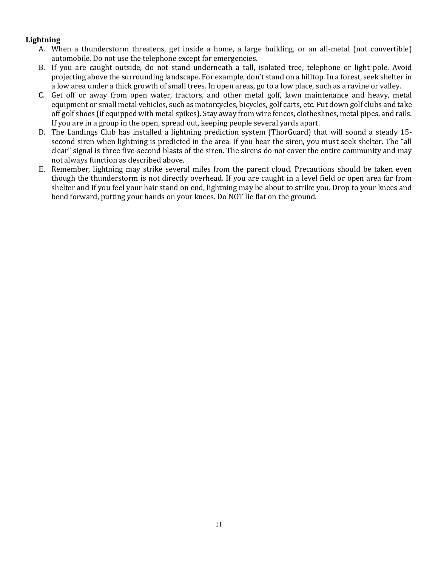#### **Lightning**

- A. When a thunderstorm threatens, get inside a home, a large building, or an all-metal (not convertible) automobile. Do not use the telephone except for emergencies.
- B. If you are caught outside, do not stand underneath a tall, isolated tree, telephone or light pole. Avoid projecting above the surrounding landscape. For example, don't stand on a hilltop. In a forest, seek shelter in a low area under a thick growth of small trees. In open areas, go to a low place, such as a ravine or valley.
- C. Get off or away from open water, tractors, and other metal golf, lawn maintenance and heavy, metal equipment or small metal vehicles, such as motorcycles, bicycles, golf carts, etc. Put down golf clubs and take off golf shoes (if equipped with metal spikes). Stay away from wire fences, clotheslines, metal pipes, and rails. If you are in a group in the open, spread out, keeping people several yards apart.
- D. The Landings Club has installed a lightning prediction system (ThorGuard) that will sound a steady 15 second siren when lightning is predicted in the area. If you hear the siren, you must seek shelter. The "all clear" signal is three five-second blasts of the siren. The sirens do not cover the entire community and may not always function as described above.
- E. Remember, lightning may strike several miles from the parent cloud. Precautions should be taken even though the thunderstorm is not directly overhead. If you are caught in a level field or open area far from shelter and if you feel your hair stand on end, lightning may be about to strike you. Drop to your knees and bend forward, putting your hands on your knees. Do NOT lie flat on the ground.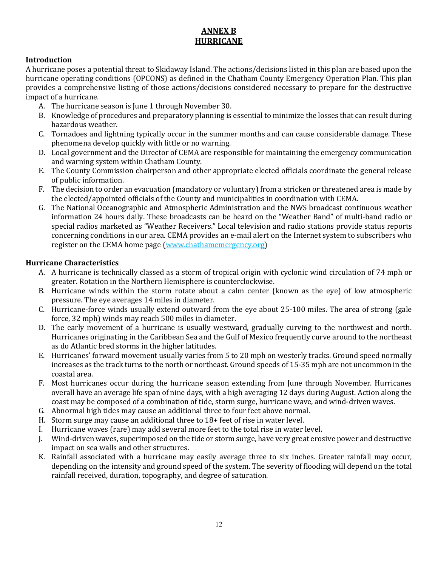# **ANNEX B HURRICANE**

## **Introduction**

A hurricane poses a potential threat to Skidaway Island. The actions/decisions listed in this plan are based upon the hurricane operating conditions (OPCONS) as defined in the Chatham County Emergency Operation Plan. This plan provides a comprehensive listing of those actions/decisions considered necessary to prepare for the destructive impact of a hurricane.

- A. The hurricane season is June 1 through November 30.
- B. Knowledge of procedures and preparatory planning is essential to minimize the losses that can result during hazardous weather.
- C. Tornadoes and lightning typically occur in the summer months and can cause considerable damage. These phenomena develop quickly with little or no warning.
- D. Local government and the Director of CEMA are responsible for maintaining the emergency communication and warning system within Chatham County.
- E. The County Commission chairperson and other appropriate elected officials coordinate the general release of public information.
- F. The decision to order an evacuation (mandatory or voluntary) from a stricken or threatened area is made by the elected/appointed officials of the County and municipalities in coordination with CEMA.
- G. The National Oceanographic and Atmospheric Administration and the NWS broadcast continuous weather information 24 hours daily. These broadcasts can be heard on the "Weather Band" of multi-band radio or special radios marketed as "Weather Receivers." Local television and radio stations provide status reports concerning conditions in our area. CEMA provides an e-mail alert on the Internet system to subscribers who register on the CEMA home page (www.chathamemergency.org)

#### **Hurricane Characteristics**

- A. A hurricane is technically classed as a storm of tropical origin with cyclonic wind circulation of 74 mph or greater. Rotation in the Northern Hemisphere is counterclockwise.
- B. Hurricane winds within the storm rotate about a calm center (known as the eye) of low atmospheric pressure. The eye averages 14 miles in diameter.
- C. Hurricane-force winds usually extend outward from the eye about 25-100 miles. The area of strong (gale force, 32 mph) winds may reach 500 miles in diameter.
- D. The early movement of a hurricane is usually westward, gradually curving to the northwest and north. Hurricanes originating in the Caribbean Sea and the Gulf of Mexico frequently curve around to the northeast as do Atlantic bred storms in the higher latitudes.
- E. Hurricanes' forward movement usually varies from 5 to 20 mph on westerly tracks. Ground speed normally increases as the track turns to the north or northeast. Ground speeds of 15-35 mph are not uncommon in the coastal area.
- F. Most hurricanes occur during the hurricane season extending from June through November. Hurricanes overall have an average life span of nine days, with a high averaging 12 days during August. Action along the coast may be composed of a combination of tide, storm surge, hurricane wave, and wind-driven waves.
- G. Abnormal high tides may cause an additional three to four feet above normal.
- H. Storm surge may cause an additional three to 18+ feet of rise in water level.
- I. Hurricane waves (rare) may add several more feet to the total rise in water level.
- J. Wind-driven waves, superimposed on the tide or storm surge, have very great erosive power and destructive impact on sea walls and other structures.
- K. Rainfall associated with a hurricane may easily average three to six inches. Greater rainfall may occur, depending on the intensity and ground speed of the system. The severity of flooding will depend on the total rainfall received, duration, topography, and degree of saturation.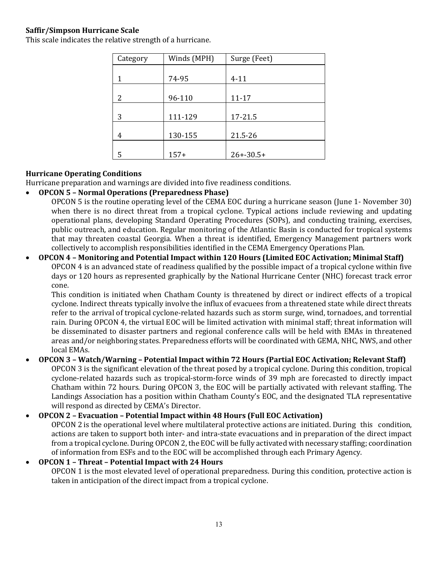#### **Saffir/Simpson Hurricane Scale**

| Category | Winds (MPH) | Surge (Feet)  |  |  |
|----------|-------------|---------------|--|--|
|          |             |               |  |  |
| 1        | 74-95       | $4 - 11$      |  |  |
|          |             |               |  |  |
| 2        | 96-110      | $11 - 17$     |  |  |
|          |             |               |  |  |
| 3        | 111-129     | 17-21.5       |  |  |
|          |             |               |  |  |
| 4        | 130-155     | 21.5-26       |  |  |
|          |             |               |  |  |
| 5        | $157+$      | $26 + -30.5+$ |  |  |

#### **Hurricane Operating Conditions**

Hurricane preparation and warnings are divided into five readiness conditions.

#### • **OPCON 5 – Normal Operations (Preparedness Phase)**

OPCON 5 is the routine operating level of the CEMA EOC during a hurricane season (June 1- November 30) when there is no direct threat from a tropical cyclone. Typical actions include reviewing and updating operational plans, developing Standard Operating Procedures (SOPs), and conducting training, exercises, public outreach, and education. Regular monitoring of the Atlantic Basin is conducted for tropical systems that may threaten coastal Georgia. When a threat is identified, Emergency Management partners work collectively to accomplish responsibilities identified in the CEMA Emergency Operations Plan.

#### • **OPCON 4 – Monitoring and Potential Impact within 120 Hours (Limited EOC Activation; Minimal Staff)** OPCON 4 is an advanced state of readiness qualified by the possible impact of a tropical cyclone within five days or 120 hours as represented graphically by the National Hurricane Center (NHC) forecast track error cone.

This condition is initiated when Chatham County is threatened by direct or indirect effects of a tropical cyclone. Indirect threats typically involve the influx of evacuees from a threatened state while direct threats refer to the arrival of tropical cyclone-related hazards such as storm surge, wind, tornadoes, and torrential rain. During OPCON 4, the virtual EOC will be limited activation with minimal staff; threat information will be disseminated to disaster partners and regional conference calls will be held with EMAs in threatened areas and/or neighboring states. Preparedness efforts will be coordinated with GEMA, NHC, NWS, and other local EMAs.

# • **OPCON 3 – Watch/Warning – Potential Impact within 72 Hours (Partial EOC Activation; Relevant Staff)**

OPCON 3 is the significant elevation of the threat posed by a tropical cyclone. During this condition, tropical cyclone-related hazards such as tropical-storm-force winds of 39 mph are forecasted to directly impact Chatham within 72 hours. During OPCON 3, the EOC will be partially activated with relevant staffing. The Landings Association has a position within Chatham County's EOC, and the designated TLA representative will respond as directed by CEMA's Director.

# • **OPCON 2 – Evacuation – Potential Impact within 48 Hours (Full EOC Activation)**

OPCON 2 is the operational level where multilateral protective actions are initiated. During this condition, actions are taken to support both inter- and intra-state evacuations and in preparation of the direct impact from a tropical cyclone. During OPCON 2, the EOC will be fully activated with necessary staffing; coordination of information from ESFs and to the EOC will be accomplished through each Primary Agency.

# • **OPCON 1 – Threat – Potential Impact with 24 Hours**

OPCON 1 is the most elevated level of operational preparedness. During this condition, protective action is taken in anticipation of the direct impact from a tropical cyclone.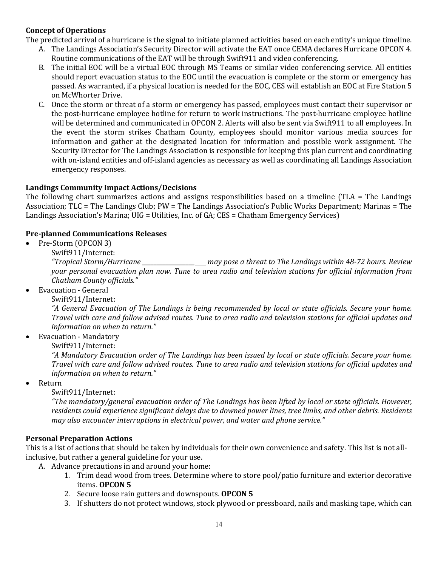#### **Concept of Operations**

The predicted arrival of a hurricane is the signal to initiate planned activities based on each entity's unique timeline.

- A. The Landings Association's Security Director will activate the EAT once CEMA declares Hurricane OPCON 4. Routine communications of the EAT will be through Swift911 and video conferencing.
- B. The initial EOC will be a virtual EOC through MS Teams or similar video conferencing service. All entities should report evacuation status to the EOC until the evacuation is complete or the storm or emergency has passed. As warranted, if a physical location is needed for the EOC, CES will establish an EOC at Fire Station 5 on McWhorter Drive.
- C. Once the storm or threat of a storm or emergency has passed, employees must contact their supervisor or the post-hurricane employee hotline for return to work instructions. The post-hurricane employee hotline will be determined and communicated in OPCON 2. Alerts will also be sent via Swift911 to all employees. In the event the storm strikes Chatham County, employees should monitor various media sources for information and gather at the designated location for information and possible work assignment. The Security Director for The Landings Association is responsible for keeping this plan current and coordinating with on-island entities and off-island agencies as necessary as well as coordinating all Landings Association emergency responses.

#### **Landings Community Impact Actions/Decisions**

The following chart summarizes actions and assigns responsibilities based on a timeline (TLA = The Landings Association; TLC = The Landings Club; PW = The Landings Association's Public Works Department; Marinas = The Landings Association's Marina; UIG = Utilities, Inc. of GA; CES = Chatham Emergency Services)

#### **Pre-planned Communications Releases**

- Pre-Storm (OPCON 3)
	-

Swift911/Internet:<br>"Tropical Storm/Hurricane *"Tropical Storm/Hurricane \_\_\_\_\_\_\_\_\_\_\_\_\_\_\_\_\_\_ may pose a threat to The Landings within 48-72 hours. Review your personal evacuation plan now. Tune to area radio and television stations for official information from Chatham County officials."*

- Evacuation General
	- Swift911/Internet:

*"A General Evacuation of The Landings is being recommended by local or state officials. Secure your home. Travel with care and follow advised routes. Tune to area radio and television stations for official updates and information on when to return."*

- Evacuation Mandatory
	- Swift911/Internet:

*"A Mandatory Evacuation order of The Landings has been issued by local or state officials. Secure your home. Travel with care and follow advised routes. Tune to area radio and television stations for official updates and information on when to return."*

• Return

Swift911/Internet:

*"The mandatory/general evacuation order of The Landings has been lifted by local or state officials. However, residents could experience significant delays due to downed power lines, tree limbs, and other debris. Residents may also encounter interruptions in electrical power, and water and phone service."*

#### **Personal Preparation Actions**

This is a list of actions that should be taken by individuals for their own convenience and safety. This list is not allinclusive, but rather a general guideline for your use.

- A. Advance precautions in and around your home:
	- 1. Trim dead wood from trees. Determine where to store pool/patio furniture and exterior decorative items. **OPCON 5**
	- 2. Secure loose rain gutters and downspouts. **OPCON 5**
	- 3. If shutters do not protect windows, stock plywood or pressboard, nails and masking tape, which can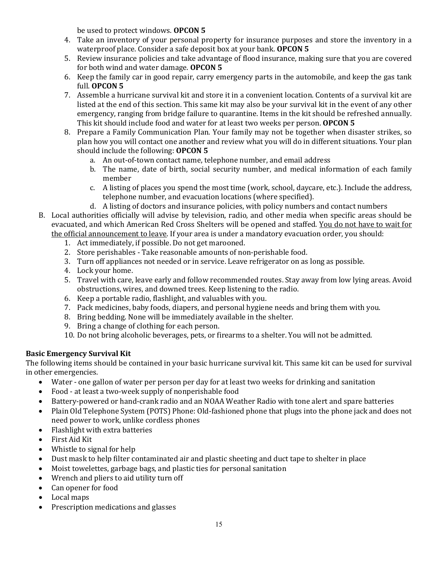be used to protect windows. **OPCON 5**

- 4. Take an inventory of your personal property for insurance purposes and store the inventory in a waterproof place. Consider a safe deposit box at your bank. **OPCON 5**
- 5. Review insurance policies and take advantage of flood insurance, making sure that you are covered for both wind and water damage. **OPCON 5**
- 6. Keep the family car in good repair, carry emergency parts in the automobile, and keep the gas tank full. **OPCON 5**
- 7. Assemble a hurricane survival kit and store it in a convenient location. Contents of a survival kit are listed at the end of this section. This same kit may also be your survival kit in the event of any other emergency, ranging from bridge failure to quarantine. Items in the kit should be refreshed annually. This kit should include food and water for at least two weeks per person. **OPCON 5**
- 8. Prepare a Family Communication Plan. Your family may not be together when disaster strikes, so plan how you will contact one another and review what you will do in different situations. Your plan should include the following: **OPCON 5**
	- a. An out-of-town contact name, telephone number, and email address
	- b. The name, date of birth, social security number, and medical information of each family member
	- c. A listing of places you spend the most time (work, school, daycare, etc.). Include the address, telephone number, and evacuation locations (where specified).
	- d. A listing of doctors and insurance policies, with policy numbers and contact numbers
- B. Local authorities officially will advise by television, radio, and other media when specific areas should be evacuated, and which American Red Cross Shelters will be opened and staffed. You do not have to wait for the official announcement to leave. If your area is under a mandatory evacuation order, you should:
	- 1. Act immediately, if possible. Do not get marooned.
	- 2. Store perishables Take reasonable amounts of non-perishable food.
	- 3. Turn off appliances not needed or in service. Leave refrigerator on as long as possible.
	- 4. Lock your home.
	- 5. Travel with care, leave early and follow recommended routes. Stay away from low lying areas. Avoid obstructions, wires, and downed trees. Keep listening to the radio.
	- 6. Keep a portable radio, flashlight, and valuables with you.
	- 7. Pack medicines, baby foods, diapers, and personal hygiene needs and bring them with you.
	- 8. Bring bedding. None will be immediately available in the shelter.
	- 9. Bring a change of clothing for each person.
	- 10. Do not bring alcoholic beverages, pets, or firearms to a shelter. You will not be admitted.

#### **Basic Emergency Survival Kit**

The following items should be contained in your basic hurricane survival kit. This same kit can be used for survival in other emergencies.<br>• Water - one ga

- Water one gallon of water per person per day for at least two weeks for drinking and sanitation
- Food at least a two-week supply of nonperishable food
- Battery-powered or hand-crank radio and an NOAA Weather Radio with tone alert and spare batteries
- Plain Old Telephone System (POTS) Phone: Old-fashioned phone that plugs into the phone jack and does not need power to work, unlike cordless phones
- Flashlight with extra batteries
- First Aid Kit
- Whistle to signal for help
- Dust mask to help filter contaminated air and plastic sheeting and duct tape to shelter in place
- Moist towelettes, garbage bags, and plastic ties for personal sanitation
- Wrench and pliers to aid utility turn off
- Can opener for food
- Local maps
- Prescription medications and glasses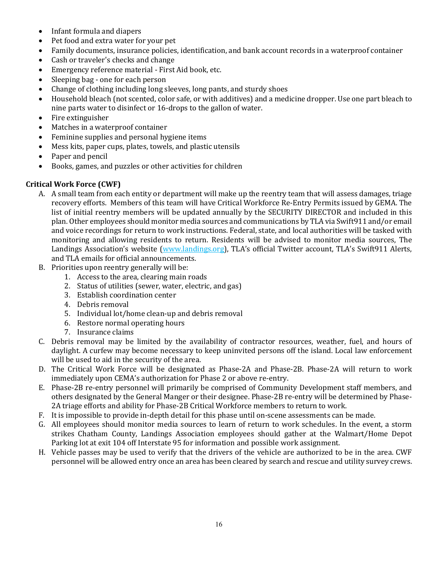- Infant formula and diapers<br>• Pet food and extra water fo
- Pet food and extra water for your pet
- Family documents, insurance policies, identification, and bank account records in a waterproof container
- Cash or traveler's checks and change
- Emergency reference material First Aid book, etc.
- Sleeping bag one for each person
- Change of clothing including long sleeves, long pants, and sturdy shoes
- Household bleach (not scented, color safe, or with additives) and a medicine dropper. Use one part bleach to nine parts water to disinfect or 16-drops to the gallon of water.
- Fire extinguisher
- Matches in a waterproof container
- Feminine supplies and personal hygiene items
- Mess kits, paper cups, plates, towels, and plastic utensils
- Paper and pencil
- Books, games, and puzzles or other activities for children

#### **Critical Work Force (CWF)**

- A. A small team from each entity or department will make up the reentry team that will assess damages, triage recovery efforts. Members of this team will have Critical Workforce Re-Entry Permits issued by GEMA. The list of initial reentry members will be updated annually by the SECURITY DIRECTOR and included in this plan. Other employees should monitor media sources and communications by TLA via Swift911 and/or email and voice recordings for return to work instructions. Federal, state, and local authorities will be tasked with monitoring and allowing residents to return. Residents will be advised to monitor media sources, The Landings Association's website [\(www.landings.org\)](http://www.landings.org/), TLA's official Twitter account, TLA's Swift911 Alerts, and TLA emails for official announcements.
- B. Priorities upon reentry generally will be:
	- 1. Access to the area, clearing main roads
	- 2. Status of utilities (sewer, water, electric, and gas)
	- 3. Establish coordination center
	- 4. Debris removal
	- 5. Individual lot/home clean-up and debris removal
	- 6. Restore normal operating hours
	- 7. Insurance claims
- C. Debris removal may be limited by the availability of contractor resources, weather, fuel, and hours of daylight. A curfew may become necessary to keep uninvited persons off the island. Local law enforcement will be used to aid in the security of the area.
- D. The Critical Work Force will be designated as Phase-2A and Phase-2B. Phase-2A will return to work immediately upon CEMA's authorization for Phase 2 or above re-entry.
- E. Phase-2B re-entry personnel will primarily be comprised of Community Development staff members, and others designated by the General Manger or their designee. Phase-2B re-entry will be determined by Phase-2A triage efforts and ability for Phase-2B Critical Workforce members to return to work.
- F. It is impossible to provide in-depth detail for this phase until on-scene assessments can be made.
- G. All employees should monitor media sources to learn of return to work schedules. In the event, a storm strikes Chatham County, Landings Association employees should gather at the Walmart/Home Depot Parking lot at exit 104 off Interstate 95 for information and possible work assignment.
- H. Vehicle passes may be used to verify that the drivers of the vehicle are authorized to be in the area. CWF personnel will be allowed entry once an area has been cleared by search and rescue and utility survey crews.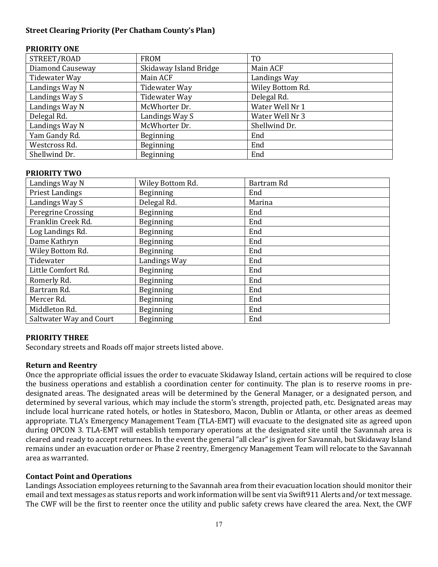#### **Street Clearing Priority (Per Chatham County's Plan)**

#### **PRIORITY ONE**

| STREET/ROAD      | <b>FROM</b>            | T <sub>0</sub>   |  |  |
|------------------|------------------------|------------------|--|--|
| Diamond Causeway | Skidaway Island Bridge | Main ACF         |  |  |
| Tidewater Way    | Main ACF               | Landings Way     |  |  |
| Landings Way N   | Tidewater Way          | Wiley Bottom Rd. |  |  |
| Landings Way S   | Tidewater Way          | Delegal Rd.      |  |  |
| Landings Way N   | McWhorter Dr.          | Water Well Nr 1  |  |  |
| Delegal Rd.      | Landings Way S         | Water Well Nr 3  |  |  |
| Landings Way N   | McWhorter Dr.          | Shellwind Dr.    |  |  |
| Yam Gandy Rd.    | <b>Beginning</b>       | End              |  |  |
| Westcross Rd.    | Beginning              | End              |  |  |
| Shellwind Dr.    | <b>Beginning</b>       | End              |  |  |

#### **PRIORITY TWO**

| Landings Way N          | Wiley Bottom Rd. | Bartram Rd |  |  |
|-------------------------|------------------|------------|--|--|
| <b>Priest Landings</b>  | Beginning        | End        |  |  |
| Landings Way S          | Delegal Rd.      | Marina     |  |  |
| Peregrine Crossing      | Beginning        | End        |  |  |
| Franklin Creek Rd.      | Beginning        | End        |  |  |
| Log Landings Rd.        | Beginning        | End        |  |  |
| Dame Kathryn            | Beginning        | End        |  |  |
| Wiley Bottom Rd.        | Beginning        | End        |  |  |
| Tidewater               | Landings Way     | End        |  |  |
| Little Comfort Rd.      | Beginning        | End        |  |  |
| Romerly Rd.             | Beginning        | End        |  |  |
| Bartram Rd.             | Beginning        | End        |  |  |
| Mercer Rd.              | Beginning        | End        |  |  |
| Middleton Rd.           | Beginning        | End        |  |  |
| Saltwater Way and Court | Beginning        | End        |  |  |

#### **PRIORITY THREE**

Secondary streets and Roads off major streets listed above.

#### **Return and Reentry**

Once the appropriate official issues the order to evacuate Skidaway Island, certain actions will be required to close the business operations and establish a coordination center for continuity. The plan is to reserve rooms in predesignated areas. The designated areas will be determined by the General Manager, or a designated person, and determined by several various, which may include the storm's strength, projected path, etc. Designated areas may include local hurricane rated hotels, or hotles in Statesboro, Macon, Dublin or Atlanta, or other areas as deemed appropriate. TLA's Emergency Management Team (TLA-EMT) will evacuate to the designated site as agreed upon during OPCON 3. TLA-EMT will establish temporary operations at the designated site until the Savannah area is cleared and ready to accept returnees. In the event the general "all clear" is given for Savannah, but Skidaway Island remains under an evacuation order or Phase 2 reentry, Emergency Management Team will relocate to the Savannah area as warranted.

#### **Contact Point and Operations**

Landings Association employees returning to the Savannah area from their evacuation location should monitor their email and text messages as status reports and work information will be sent via Swift911 Alerts and/or text message. The CWF will be the first to reenter once the utility and public safety crews have cleared the area. Next, the CWF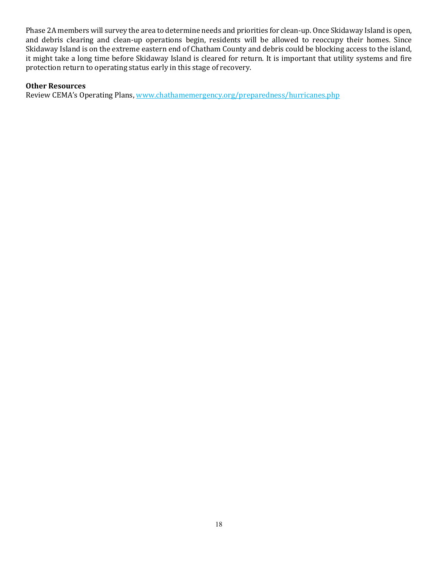Phase 2A members will survey the area to determine needs and priorities for clean-up. Once Skidaway Island is open, and debris clearing and clean-up operations begin, residents will be allowed to reoccupy their homes. Since Skidaway Island is on the extreme eastern end of Chatham County and debris could be blocking access to the island, it might take a long time before Skidaway Island is cleared for return. It is important that utility systems and fire protection return to operating status early in this stage of recovery.

#### **Other Resources**

Review CEMA's Operating Plans, www.chathamemergency.org/preparedness/hurricanes.php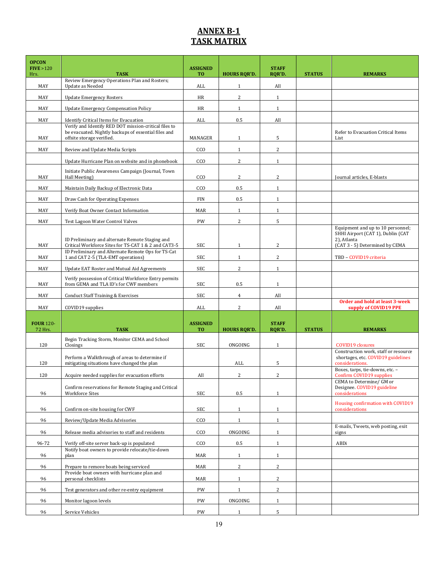# **ANNEX B-1 TASK MATRIX**

| <b>OPCON</b><br>FIVE > 120<br>Hrs. | <b>TASK</b>                                                                                             | <b>ASSIGNED</b><br>T <sub>0</sub> | <b>HOURS RQR'D.</b> | <b>STAFF</b><br>RQR'D. | <b>STATUS</b> | <b>REMARKS</b>                                                                                                          |
|------------------------------------|---------------------------------------------------------------------------------------------------------|-----------------------------------|---------------------|------------------------|---------------|-------------------------------------------------------------------------------------------------------------------------|
| MAY                                | Review Emergency Operations Plan and Rosters;<br>Update as Needed                                       | ALL                               | 1                   | All                    |               |                                                                                                                         |
| MAY                                | <b>Update Emergency Rosters</b>                                                                         | HR                                | 2                   | $\mathbf{1}$           |               |                                                                                                                         |
| MAY                                | <b>Update Emergency Compensation Policy</b>                                                             | HR                                | $\mathbf{1}$        | $\mathbf{1}$           |               |                                                                                                                         |
| MAY                                |                                                                                                         | ALL                               | 0.5                 | All                    |               |                                                                                                                         |
|                                    | Identify Critical Items for Evacuation<br>Verify and Identify RED DOT mission-critical files to         |                                   |                     |                        |               |                                                                                                                         |
| MAY                                | be evacuated. Nightly backups of essential files and<br>offsite storage verified.                       | MANAGER                           | $\mathbf{1}$        | 5                      |               | Refer to Evacuation Critical Items<br>List                                                                              |
| MAY                                | Review and Update Media Scripts                                                                         | CCO                               | $\mathbf{1}$        | $\overline{c}$         |               |                                                                                                                         |
|                                    | Update Hurricane Plan on website and in phonebook                                                       | CCO                               | 2                   | $\mathbf{1}$           |               |                                                                                                                         |
| MAY                                | Initiate Public Awareness Campaign (Journal, Town<br>Hall Meeting)                                      | CCO                               | 2                   | $\overline{c}$         |               | Journal articles, E-blasts                                                                                              |
| MAY                                | Maintain Daily Backup of Electronic Data                                                                | CCO                               | 0.5                 | $\mathbf{1}$           |               |                                                                                                                         |
| MAY                                | Draw Cash for Operating Expenses                                                                        | <b>FIN</b>                        | 0.5                 | $\mathbf{1}$           |               |                                                                                                                         |
| MAY                                | Verify Boat Owner Contact Information                                                                   | MAR                               | $\mathbf{1}$        | $\mathbf{1}$           |               |                                                                                                                         |
| MAY                                | Test Lagoon Water Control Valves                                                                        | PW                                | 2                   | 5                      |               |                                                                                                                         |
| MAY                                | ID Preliminary and alternate Remote Staging and<br>Critical Workforce Sites for TS-CAT 1 & 2 and CAT3-5 | SEC                               | $\mathbf{1}$        | 2                      |               | Equipment and up to 10 personnel;<br>SHHI Airport (CAT 1), Dublin (CAT<br>2), Atlanta<br>(CAT 3 - 5) Determined by CEMA |
| MAY                                | ID Preliminary and Alternate Remote Ops for TS-Cat<br>1 and CAT 2-5 (TLA-EMT operations)                | <b>SEC</b>                        | $\mathbf{1}$        | 2                      |               | TBD - COVID19 criteria                                                                                                  |
| MAY                                | Update EAT Roster and Mutual Aid Agreements                                                             | SEC                               | 2                   | $\mathbf{1}$           |               |                                                                                                                         |
| MAY                                | Verify possession of Critical Workforce Entry permits<br>from GEMA and TLA ID's for CWF members         | SEC                               | 0.5                 | $\mathbf{1}$           |               |                                                                                                                         |
| MAY                                | Conduct Staff Training & Exercises                                                                      | SEC                               | $\overline{4}$      | All                    |               |                                                                                                                         |
| MAY                                | COVID19 supplies                                                                                        | ALL                               | 2                   | All                    |               | <b>Order and hold at least 3-week</b><br>supply of COVID19 PPE                                                          |
| <b>FOUR 120-</b>                   |                                                                                                         | <b>ASSIGNED</b>                   |                     | <b>STAFF</b>           |               |                                                                                                                         |
| 72 Hrs.                            | <b>TASK</b>                                                                                             | T <sub>0</sub>                    | <b>HOURS RQR'D</b>  | RQR'D.                 | <b>STATUS</b> | <b>REMARKS</b>                                                                                                          |
| 120                                | Begin Tracking Storm, Monitor CEMA and School<br>Closings                                               | SEC                               | ONGOING             | $\mathbf{1}$           |               | <b>COVID19</b> closures                                                                                                 |
| 120                                | Perform a Walkthrough of areas to determine if<br>mitigating situations have changed the plan           |                                   | ALL                 | 5                      |               | Construction work, staff or resource<br>shortages, etc. COVID19 guidelines<br>considerations.                           |
| 120                                | Acquire needed supplies for evacuation efforts                                                          | All                               | $\overline{2}$      | $\overline{c}$         |               | Boxes, tarps, tie-downs, etc. -<br>Confirm COVID19 supplies                                                             |
| 96                                 | Confirm reservations for Remote Staging and Critical<br><b>Workforce Sites</b>                          | SEC                               | 0.5                 | $\mathbf{1}$           |               | CEMA to Determine/ GM or<br>Designee. COVID19 guideline<br>considerations                                               |
| 96                                 | Confirm on-site housing for CWF                                                                         | SEC                               | $\mathbf{1}$        | $\mathbf{1}$           |               | Housing confirmation with COVID19<br>considerations                                                                     |
| 96                                 | Review/Update Media Advisories                                                                          | CCO                               | $\mathbf{1}$        | $\mathbf{1}$           |               |                                                                                                                         |
| 96                                 | Release media advisories to staff and residents                                                         | CCO                               | ONGOING             | $\mathbf{1}$           |               | E-mails, Tweets, web posting, exit<br>signs                                                                             |
| 96-72                              | Verify off-site server back-up is populated                                                             | CCO                               | $0.5\,$             | $\mathbf{1}$           |               | ABDi                                                                                                                    |
| 96                                 | Notify boat owners to provide relocate/tie-down<br>plan                                                 | MAR                               | $\mathbf{1}$        | $\mathbf{1}$           |               |                                                                                                                         |
| 96                                 | Prepare to remove boats being serviced                                                                  | MAR                               | $\overline{c}$      | $\overline{c}$         |               |                                                                                                                         |
| 96                                 | Provide boat owners with hurricane plan and<br>personal checklists                                      | MAR                               | $\mathbf{1}$        | 2                      |               |                                                                                                                         |
| 96                                 | Test generators and other re-entry equipment                                                            | PW                                | $\mathbf{1}$        | $\mathbf{2}$           |               |                                                                                                                         |
| 96                                 | Monitor lagoon levels                                                                                   | PW                                | ONGOING             | $\mathbf{1}$           |               |                                                                                                                         |
| 96                                 | Service Vehicles                                                                                        | PW                                | $\mathbf{1}$        | 5                      |               |                                                                                                                         |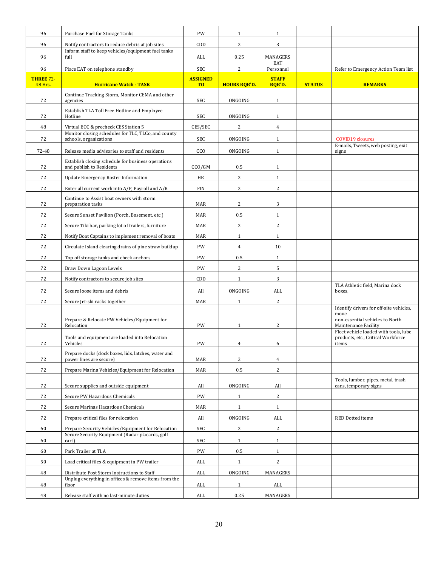| 96                     | Purchase Fuel for Storage Tanks                                                | PW                     | $\mathbf{1}$        | $\mathbf{1}$              |               |                                                                                                            |
|------------------------|--------------------------------------------------------------------------------|------------------------|---------------------|---------------------------|---------------|------------------------------------------------------------------------------------------------------------|
| 96                     | Notify contractors to reduce debris at job sites                               | CDD                    | 2                   | 3                         |               |                                                                                                            |
| 96                     | Inform staff to keep vehicles/equipment fuel tanks<br>full                     | ALL                    | 0.25                | MANAGERS                  |               |                                                                                                            |
|                        |                                                                                |                        |                     | EAT                       |               |                                                                                                            |
| 96<br><b>THREE 72-</b> | Place EAT on telephone standby                                                 | SEC<br><b>ASSIGNED</b> | 2                   | Personnel<br><b>STAFF</b> |               | Refer to Emergency Action Team list                                                                        |
| <b>48 Hrs.</b>         | <b>Hurricane Watch - TASK</b>                                                  | T <sub>0</sub>         | <b>HOURS RQR'D.</b> | RQR'D.                    | <b>STATUS</b> | <b>REMARKS</b>                                                                                             |
| 72                     | Continue Tracking Storm, Monitor CEMA and other<br>agencies                    | SEC                    | ONGOING             | $\mathbf{1}$              |               |                                                                                                            |
| 72                     | Establish TLA Toll Free Hotline and Employee<br>Hotline                        | SEC                    | ONGOING             | $\mathbf{1}$              |               |                                                                                                            |
| 48                     | Virtual EOC & precheck CES Station 5                                           | CES/SEC                | $\overline{c}$      | $\overline{4}$            |               |                                                                                                            |
| 72                     | Monitor closing schedules for TLC, TLCo, and county<br>schools, organizations  | SEC                    | ONGOING             | $\mathbf{1}$              |               | <b>COVID19</b> closures                                                                                    |
| 72-48                  | Release media advisories to staff and residents                                | CCO                    | ONGOING             | $\mathbf{1}$              |               | E-mails, Tweets, web posting, exit<br>signs                                                                |
| 72                     | Establish closing schedule for business operations<br>and publish to Residents | CCO/GM                 | 0.5                 | $\mathbf{1}$              |               |                                                                                                            |
| 72                     | Update Emergency Roster Information                                            | HR                     | 2                   | $\mathbf{1}$              |               |                                                                                                            |
| 72                     | Enter all current work into A/P, Payroll and A/R                               | <b>FIN</b>             | $\overline{c}$      | $\overline{c}$            |               |                                                                                                            |
| 72                     | Continue to Assist boat owners with storm<br>preparation tasks                 | MAR                    | $\overline{2}$      | 3                         |               |                                                                                                            |
| 72                     | Secure Sunset Pavilion (Porch, Basement, etc.)                                 | MAR                    | 0.5                 | $\mathbf{1}$              |               |                                                                                                            |
| 72                     | Secure Tiki bar, parking lot of trailers, furniture                            | MAR                    | $\sqrt{2}$          | $\overline{c}$            |               |                                                                                                            |
| 72                     | Notify Boat Captains to implement removal of boats                             | MAR                    | $\mathbf{1}$        | $\mathbf{1}$              |               |                                                                                                            |
| 72                     | Circulate Island clearing drains of pine straw buildup                         | PW                     | $\overline{4}$      | 10                        |               |                                                                                                            |
| 72                     | Top off storage tanks and check anchors                                        | PW                     | 0.5                 | $\mathbf{1}$              |               |                                                                                                            |
| 72                     | Draw Down Lagoon Levels                                                        | PW                     | 2                   | 5                         |               |                                                                                                            |
| 72                     | Notify contractors to secure job sites                                         | CDD                    | $\mathbf{1}$        | 3                         |               |                                                                                                            |
| 72                     | Secure loose items and debris                                                  | All                    | ONGOING             | ALL                       |               | TLA Athletic field, Marina dock<br>boxes,                                                                  |
| 72                     | Secure Jet-ski racks together                                                  | MAR                    | $\mathbf{1}$        | $\overline{c}$            |               |                                                                                                            |
| 72                     | Prepare & Relocate PW Vehicles/Equipment for<br>Relocation                     | PW                     | $\mathbf{1}$        | $\overline{c}$            |               | Identify drivers for off-site vehicles,<br>move<br>non-essential vehicles to North<br>Maintenance Facility |
| 72                     | Tools and equipment are loaded into Relocation<br>Vehicles                     | PW                     | 4                   | 6                         |               | Fleet vehicle loaded with tools, lube<br>products, etc., Critical Workforce<br>items                       |
| 72                     | Prepare docks (dock boxes, lids, latches, water and<br>power lines are secure) | MAR                    | $\boldsymbol{2}$    | $\overline{4}$            |               |                                                                                                            |
| 72                     | Prepare Marina Vehicles/Equipment for Relocation                               | MAR                    | $0.5\,$             | $\overline{c}$            |               |                                                                                                            |
| 72                     | Secure supplies and outside equipment                                          | All                    | ONGOING             | All                       |               | Tools, lumber, pipes, metal, trash<br>cans, temporary signs                                                |
| 72                     | Secure PW Hazardous Chemicals                                                  | PW                     | $\mathbf{1}$        | $\overline{a}$            |               |                                                                                                            |
| 72                     | Secure Marinas Hazardous Chemicals                                             | MAR                    | $\mathbf{1}$        | $\mathbf{1}$              |               |                                                                                                            |
| 72                     | Prepare critical files for relocation                                          | All                    | ONGOING             | ALL                       |               | RED Dotted items                                                                                           |
| 60                     | Prepare Security Vehicles/Equipment for Relocation                             | SEC                    | 2                   | $\overline{c}$            |               |                                                                                                            |
| 60                     | Secure Security Equipment (Radar placards, golf<br>cart)                       | SEC                    | $\mathbf{1}$        | $\mathbf{1}$              |               |                                                                                                            |
| 60                     | Park Trailer at TLA                                                            | PW                     | $0.5\,$             | $\mathbf{1}$              |               |                                                                                                            |
| 50                     | Load critical files & equipment in PW trailer                                  | ALL                    | $\mathbf{1}$        | $\overline{c}$            |               |                                                                                                            |
| 48                     | Distribute Post Storm Instructions to Staff                                    | ALL                    | ONGOING             | MANAGERS                  |               |                                                                                                            |
| 48                     | Unplug everything in offices & remove items from the<br>floor                  | ALL                    | $\mathbf{1}$        | ALL                       |               |                                                                                                            |
| 48                     | Release staff with no last-minute duties                                       | $\mbox{ALL}$           | 0.25                | MANAGERS                  |               |                                                                                                            |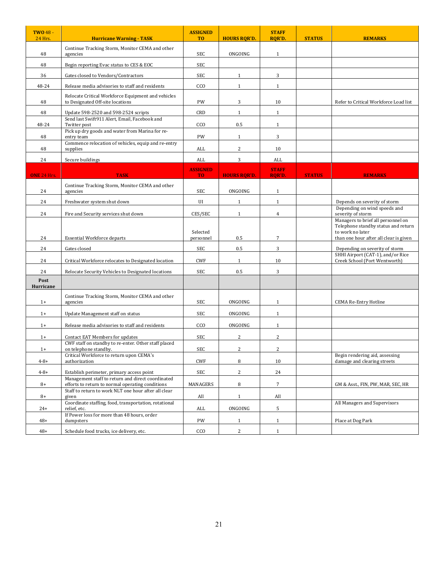| <b>TWO 48 -</b><br><b>24 Hrs.</b> | <b>Hurricane Warning - TASK</b>                                                                       | <b>ASSIGNED</b><br>T <sub>0</sub> | <b>HOURS RQR'D.</b> | <b>STAFF</b><br><b>RQR'D.</b> | <b>STATUS</b> | <b>REMARKS</b>                                                                                    |
|-----------------------------------|-------------------------------------------------------------------------------------------------------|-----------------------------------|---------------------|-------------------------------|---------------|---------------------------------------------------------------------------------------------------|
| 48                                | Continue Tracking Storm, Monitor CEMA and other<br>agencies                                           | SEC                               | ONGOING             | $\mathbf{1}$                  |               |                                                                                                   |
| 48                                | Begin reporting Evac status to CES & EOC                                                              | SEC                               |                     |                               |               |                                                                                                   |
| 36                                | Gates closed to Vendors/Contractors                                                                   | SEC                               | 1                   | 3                             |               |                                                                                                   |
| 48-24                             | Release media advisories to staff and residents                                                       | CCO                               | $\mathbf{1}$        | $\mathbf{1}$                  |               |                                                                                                   |
| 48                                | Relocate Critical Workforce Equipment and vehicles<br>to Designated Off-site locations                | PW                                | 3                   | 10                            |               | Refer to Critical Workforce Load list                                                             |
| 48                                | Update 598-2520 and 598-2524 scripts                                                                  | CRD                               | $\mathbf{1}$        | $\mathbf{1}$                  |               |                                                                                                   |
| 48-24                             | Send last Swift911 Alert, Email, Facebook and<br>Twitter post                                         | CCO                               | 0.5                 | $\mathbf{1}$                  |               |                                                                                                   |
| 48                                | Pick up dry goods and water from Marina for re-<br>entry team                                         | PW                                | $\mathbf{1}$        | 3                             |               |                                                                                                   |
| 48                                | Commence relocation of vehicles, equip and re-entry<br>supplies                                       | ALL                               | 2                   | 10                            |               |                                                                                                   |
| 24                                | Secure buildings                                                                                      | ALL                               | 3                   | ALL                           |               |                                                                                                   |
| <b>ONE 24 Hrs.</b>                | <b>TASK</b>                                                                                           | <b>ASSIGNED</b><br>T <sub>0</sub> | <b>HOURS ROR'D.</b> | <b>STAFF</b><br>RQR'D.        | <b>STATUS</b> | <b>REMARKS</b>                                                                                    |
|                                   | Continue Tracking Storm, Monitor CEMA and other                                                       |                                   |                     |                               |               |                                                                                                   |
| 24                                | agencies                                                                                              | <b>SEC</b>                        | ONGOING             | $\mathbf{1}$                  |               |                                                                                                   |
| 24                                | Freshwater system shut down                                                                           | UI                                | 1                   | $\mathbf{1}$                  |               | Depends on severity of storm<br>Depending on wind speeds and                                      |
| 24                                | Fire and Security services shut down                                                                  | CES/SEC                           | $\mathbf{1}$        | $\overline{4}$                |               | severity of storm<br>Managers to brief all personnel on                                           |
| 24                                | <b>Essential Workforce departs</b>                                                                    | Selected<br>personnel             | 0.5                 | $\overline{7}$                |               | Telephone standby status and return<br>to work no later<br>than one hour after all clear is given |
| 24                                | Gates closed                                                                                          | SEC                               | 0.5                 | 3                             |               | Depending on severity of storm                                                                    |
| 24                                | Critical Workforce relocates to Designated location                                                   | <b>CWF</b>                        | $\mathbf{1}$        | 10                            |               | SHHI Airport (CAT-1), and/or Rice<br>Creek School (Port Wentworth)                                |
| 24                                | Relocate Security Vehicles to Designated locations                                                    | SEC                               | 0.5                 | 3                             |               |                                                                                                   |
| Post<br>Hurricane                 |                                                                                                       |                                   |                     |                               |               |                                                                                                   |
| $1+$                              | Continue Tracking Storm, Monitor CEMA and other<br>agencies                                           | SEC                               | ONGOING             | $\mathbf{1}$                  |               | <b>CEMA Re-Entry Hotline</b>                                                                      |
| $1+$                              | Update Management staff on status                                                                     | SEC                               | ONGOING             | $\mathbf{1}$                  |               |                                                                                                   |
| $1+$                              | Release media advisories to staff and residents                                                       | CCO                               | ONGOING             | $\mathbf{1}$                  |               |                                                                                                   |
| $1+$                              | Contact EAT Members for updates                                                                       | SEC                               | 2                   | $\boldsymbol{2}$              |               |                                                                                                   |
| $1+$                              | CWF staff on standby to re-enter. Other staff placed<br>on telephone standby.                         | SEC                               | $\overline{2}$      | $\overline{c}$                |               |                                                                                                   |
| $4 - 8 +$                         | Critical Workforce to return upon CEMA's<br>authorization                                             | CWF                               | 8                   | 10                            |               | Begin rendering aid, assessing<br>damage and clearing streets                                     |
| $4 - 8 +$                         | Establish perimeter, primary access point                                                             | SEC                               | $\overline{c}$      | 24                            |               |                                                                                                   |
| $8+$                              | Management staff to return and direct coordinated<br>efforts to return to normal operating conditions | MANAGERS                          | 8                   | $\overline{7}$                |               | GM & Asst., FIN, PW, MAR, SEC, HR                                                                 |
| $8+$                              | Staff to return to work NLT one hour after all clear<br>given                                         | All                               | $\mathbf{1}$        | All                           |               |                                                                                                   |
| $24+$                             | Coordinate staffing, food, transportation, rotational<br>relief. etc.                                 | ALL                               | ONGOING             | 5                             |               | All Managers and Supervisors                                                                      |
| $48+$                             | If Power loss for more than 48 hours, order<br>dumpsters                                              | PW                                | $\mathbf{1}$        | $\mathbf{1}$                  |               | Place at Dog Park                                                                                 |
| $48+$                             | Schedule food trucks, ice delivery, etc.                                                              | CCO                               | $\sqrt{2}$          | $\mathbf{1}$                  |               |                                                                                                   |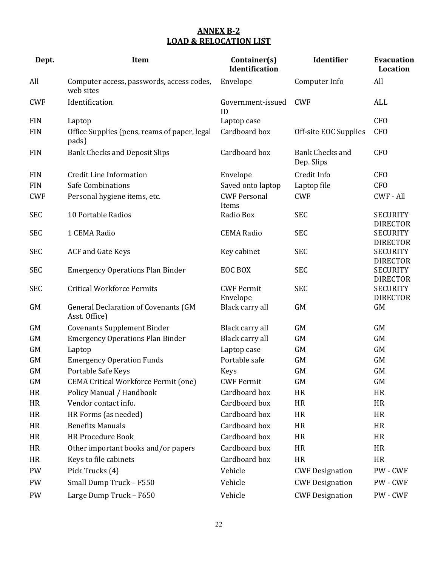# **ANNEX B-2 LOAD & RELOCATION LIST**

| Dept.      | Item                                                         | Container(s)<br><b>Identification</b> | Identifier                           | <b>Evacuation</b><br>Location                         |
|------------|--------------------------------------------------------------|---------------------------------------|--------------------------------------|-------------------------------------------------------|
| All        | Computer access, passwords, access codes,<br>web sites       | Envelope                              | Computer Info                        | All                                                   |
| <b>CWF</b> | Identification                                               | Government-issued<br>ID               | <b>CWF</b>                           | ALL                                                   |
| <b>FIN</b> | Laptop                                                       | Laptop case                           |                                      | CF <sub>O</sub>                                       |
| <b>FIN</b> | Office Supplies (pens, reams of paper, legal<br>pads)        | Cardboard box                         | Off-site EOC Supplies                | <b>CFO</b>                                            |
| <b>FIN</b> | <b>Bank Checks and Deposit Slips</b>                         | Cardboard box                         | <b>Bank Checks and</b><br>Dep. Slips | <b>CFO</b>                                            |
| <b>FIN</b> | <b>Credit Line Information</b>                               | Envelope                              | Credit Info                          | <b>CFO</b>                                            |
| <b>FIN</b> | <b>Safe Combinations</b>                                     | Saved onto laptop                     | Laptop file                          | CF <sub>O</sub>                                       |
| <b>CWF</b> | Personal hygiene items, etc.                                 | <b>CWF Personal</b><br>Items          | <b>CWF</b>                           | <b>CWF - All</b>                                      |
| <b>SEC</b> | 10 Portable Radios                                           | Radio Box                             | <b>SEC</b>                           | <b>SECURITY</b>                                       |
| <b>SEC</b> | 1 CEMA Radio                                                 | <b>CEMA Radio</b>                     | <b>SEC</b>                           | <b>DIRECTOR</b><br><b>SECURITY</b><br><b>DIRECTOR</b> |
| <b>SEC</b> | <b>ACF</b> and Gate Keys                                     | Key cabinet                           | <b>SEC</b>                           | <b>SECURITY</b><br><b>DIRECTOR</b>                    |
| <b>SEC</b> | <b>Emergency Operations Plan Binder</b>                      | EOC BOX                               | <b>SEC</b>                           | <b>SECURITY</b><br><b>DIRECTOR</b>                    |
| <b>SEC</b> | <b>Critical Workforce Permits</b>                            | <b>CWF Permit</b><br>Envelope         | <b>SEC</b>                           | <b>SECURITY</b><br><b>DIRECTOR</b>                    |
| GM         | <b>General Declaration of Covenants (GM</b><br>Asst. Office) | Black carry all                       | <b>GM</b>                            | GM                                                    |
| GM         | <b>Covenants Supplement Binder</b>                           | Black carry all                       | <b>GM</b>                            | GM                                                    |
| GM         | <b>Emergency Operations Plan Binder</b>                      | Black carry all                       | <b>GM</b>                            | <b>GM</b>                                             |
| GM         | Laptop                                                       | Laptop case                           | <b>GM</b>                            | GM                                                    |
| GM         | <b>Emergency Operation Funds</b>                             | Portable safe                         | <b>GM</b>                            | <b>GM</b>                                             |
| GM         | Portable Safe Keys                                           | <b>Keys</b>                           | <b>GM</b>                            | <b>GM</b>                                             |
| GM         | <b>CEMA Critical Workforce Permit (one)</b>                  | <b>CWF Permit</b>                     | <b>GM</b>                            | GM                                                    |
| HR         | Policy Manual / Handbook                                     | Cardboard box                         | HR                                   | HR                                                    |
| HR         | Vendor contact info.                                         | Cardboard box                         | HR                                   | <b>HR</b>                                             |
| HR         | HR Forms (as needed)                                         | Cardboard box                         | HR                                   | HR                                                    |
| HR         | <b>Benefits Manuals</b>                                      | Cardboard box                         | <b>HR</b>                            | <b>HR</b>                                             |
| HR         | <b>HR Procedure Book</b>                                     | Cardboard box                         | HR                                   | HR                                                    |
| HR         | Other important books and/or papers                          | Cardboard box                         | HR                                   | HR                                                    |
| HR         | Keys to file cabinets                                        | Cardboard box                         | HR                                   | HR                                                    |
| PW         | Pick Trucks (4)                                              | Vehicle                               | <b>CWF Designation</b>               | PW - CWF                                              |
| PW         | Small Dump Truck - F550                                      | Vehicle                               | <b>CWF Designation</b>               | PW - CWF                                              |
| PW         | Large Dump Truck - F650                                      | Vehicle                               | <b>CWF Designation</b>               | PW - CWF                                              |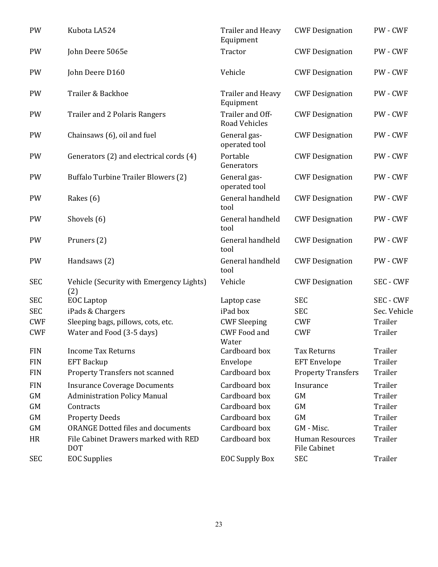| PW         | Kubota LA524                                       | <b>Trailer and Heavy</b><br>Equipment    | <b>CWF Designation</b>                 | PW - CWF         |
|------------|----------------------------------------------------|------------------------------------------|----------------------------------------|------------------|
| PW         | John Deere 5065e                                   | Tractor                                  | <b>CWF Designation</b>                 | PW - CWF         |
| PW         | John Deere D160                                    | Vehicle                                  | <b>CWF Designation</b>                 | PW - CWF         |
| PW         | Trailer & Backhoe                                  | Trailer and Heavy<br>Equipment           | <b>CWF Designation</b>                 | PW - CWF         |
| PW         | <b>Trailer and 2 Polaris Rangers</b>               | Trailer and Off-<br><b>Road Vehicles</b> | <b>CWF Designation</b>                 | PW - CWF         |
| PW         | Chainsaws (6), oil and fuel                        | General gas-<br>operated tool            | <b>CWF Designation</b>                 | PW - CWF         |
| PW         | Generators (2) and electrical cords (4)            | Portable<br>Generators                   | <b>CWF Designation</b>                 | PW - CWF         |
| PW         | <b>Buffalo Turbine Trailer Blowers (2)</b>         | General gas-<br>operated tool            | <b>CWF Designation</b>                 | PW - CWF         |
| PW         | Rakes (6)                                          | General handheld<br>tool                 | <b>CWF Designation</b>                 | PW - CWF         |
| PW         | Shovels (6)                                        | General handheld<br>tool                 | <b>CWF Designation</b>                 | PW - CWF         |
| PW         | Pruners (2)                                        | General handheld<br>tool                 | <b>CWF Designation</b>                 | PW - CWF         |
| PW         | Handsaws (2)                                       | General handheld<br>tool                 | <b>CWF Designation</b>                 | PW - CWF         |
| <b>SEC</b> | Vehicle (Security with Emergency Lights)<br>(2)    | Vehicle                                  | <b>CWF Designation</b>                 | <b>SEC - CWF</b> |
| <b>SEC</b> | <b>EOC</b> Laptop                                  | Laptop case                              | <b>SEC</b>                             | <b>SEC - CWF</b> |
| <b>SEC</b> | iPads & Chargers                                   | iPad box                                 | <b>SEC</b>                             | Sec. Vehicle     |
| <b>CWF</b> | Sleeping bags, pillows, cots, etc.                 | <b>CWF Sleeping</b>                      | <b>CWF</b>                             | Trailer          |
| <b>CWF</b> | Water and Food (3-5 days)                          | <b>CWF Food and</b><br>Water             | <b>CWF</b>                             | Trailer          |
| <b>FIN</b> | <b>Income Tax Returns</b>                          | Cardboard box                            | <b>Tax Returns</b>                     | Trailer          |
| <b>FIN</b> | <b>EFT Backup</b>                                  | Envelope                                 | <b>EFT</b> Envelope                    | Trailer          |
| <b>FIN</b> | <b>Property Transfers not scanned</b>              | Cardboard box                            | <b>Property Transfers</b>              | Trailer          |
| <b>FIN</b> | <b>Insurance Coverage Documents</b>                | Cardboard box                            | Insurance                              | Trailer          |
| GM         | <b>Administration Policy Manual</b>                | Cardboard box                            | <b>GM</b>                              | Trailer          |
| GM         | Contracts                                          | Cardboard box                            | <b>GM</b>                              | Trailer          |
| GM         | <b>Property Deeds</b>                              | Cardboard box                            | <b>GM</b>                              | Trailer          |
| GM         | <b>ORANGE Dotted files and documents</b>           | Cardboard box                            | GM - Misc.                             | Trailer          |
| HR         | File Cabinet Drawers marked with RED<br><b>DOT</b> | Cardboard box                            | <b>Human Resources</b><br>File Cabinet | Trailer          |
| <b>SEC</b> | <b>EOC</b> Supplies                                | <b>EOC Supply Box</b>                    | <b>SEC</b>                             | Trailer          |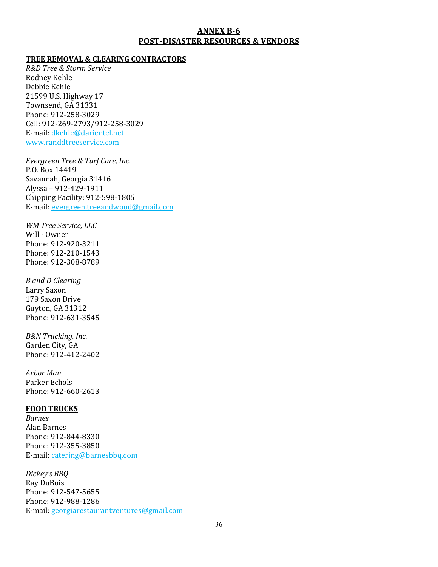#### **ANNEX B-6 POST-DISASTER RESOURCES & VENDORS**

#### **TREE REMOVAL & CLEARING CONTRACTORS**

*R&D Tree & Storm Service* Rodney Kehle Debbie Kehle 21599 U.S. Highway 17 Townsend, GA 31331 Phone: 912-258-3029 Cell: 912-269-2793/912-258-3029 E-mail: dkehle@darientel.net www.randdtreeservice.com

*Evergreen Tree & Turf Care, Inc.* P.O. Box 14419 Savannah, Georgia 31416 Alyssa – 912-429-1911 Chipping Facility: 912-598-1805 E-mail: evergreen.treeandwood@gmail.com

*WM Tree Service, LLC* Will - Owner Phone: 912-920-3211 Phone: 912-210-1543 Phone: 912-308-8789

*B and D Clearing* Larry Saxon 179 Saxon Drive Guyton, GA 31312 Phone: 912-631-3545

*B&N Trucking, Inc.* Garden City, GA Phone: 912-412-2402

*Arbor Man* Parker Echols Phone: 912-660-2613

#### **FOOD TRUCKS**

*Barnes* Alan Barnes Phone: 912-844-8330 Phone: 912-355-3850 E-mail: catering@barnesbbq.com

*Dickey's BBQ* Ray DuBois Phone: 912-547-5655 Phone: 912-988-1286 E-mail: georgiarestaurantventures@gmail.com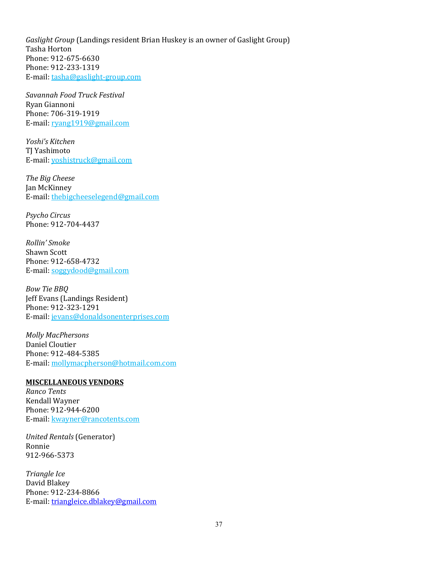*Gaslight Group* (Landings resident Brian Huskey is an owner of Gaslight Group) Tasha Horton Phone: 912-675-6630 Phone: 912-233-1319 E-mail: tasha@gaslight-group.com

*Savannah Food Truck Festival* Ryan Giannoni Phone: 706-319-1919 E-mail: ryang1919@gmail.com

*Yoshi's Kitchen* TJ Yashimoto E-mail: yoshistruck@gmail.com

*The Big Cheese* Jan McKinney E-mail: thebigcheeselegend@gmail.com

*Psycho Circus* Phone: 912-704-4437

*Rollin' Smoke* Shawn Scott Phone: 912-658-4732 E-mail: soggydood@gmail.com

*Bow Tie BBQ* Jeff Evans (Landings Resident) Phone: 912-323-1291 E-mail: jevans@donaldsonenterprises.com

*Molly MacPhersons* Daniel Cloutier Phone: 912-484-5385 E-mail: mollymacpherson@hotmail.com.com

#### **MISCELLANEOUS VENDORS**

*Ranco Tents*  Kendall Wayner Phone: 912-944-6200 E-mail: kwayner@rancotents.com

*United Rentals* (Generator) Ronnie 912-966-5373

*Triangle Ice* David Blakey Phone: 912-234-8866 E-mail: [triangleice.dblakey@gmail.com](mailto:triangleice.dblakey@gmail.com)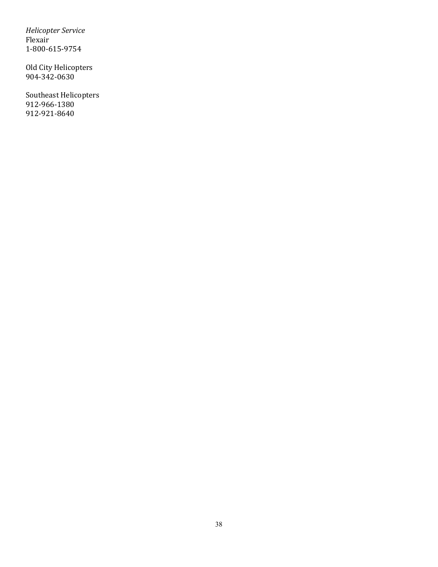*Helicopter Service* Flexair 1-800-615-9754

Old City Helicopters 904-342-0630

Southeast Helicopters 912-966-1380 912-921-8640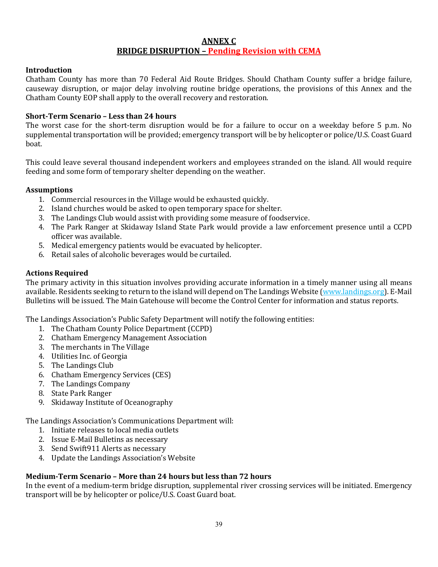#### **ANNEX C BRIDGE DISRUPTION – Pending Revision with CEMA**

#### **Introduction**

Chatham County has more than 70 Federal Aid Route Bridges. Should Chatham County suffer a bridge failure, causeway disruption, or major delay involving routine bridge operations, the provisions of this Annex and the Chatham County EOP shall apply to the overall recovery and restoration.

#### **Short-Term Scenario – Less than 24 hours**

The worst case for the short-term disruption would be for a failure to occur on a weekday before 5 p.m. No supplemental transportation will be provided; emergency transport will be by helicopter or police/U.S. Coast Guard boat.

This could leave several thousand independent workers and employees stranded on the island. All would require feeding and some form of temporary shelter depending on the weather.

#### **Assumptions**

- 1. Commercial resources in the Village would be exhausted quickly.
- 2. Island churches would be asked to open temporary space for shelter.
- 3. The Landings Club would assist with providing some measure of foodservice.
- 4. The Park Ranger at Skidaway Island State Park would provide a law enforcement presence until a CCPD officer was available.
- 5. Medical emergency patients would be evacuated by helicopter.
- 6. Retail sales of alcoholic beverages would be curtailed.

#### **Actions Required**

The primary activity in this situation involves providing accurate information in a timely manner using all means available. Residents seeking to return to the island will depend on The Landings Website (www.landings.org). E-Mail Bulletins will be issued. The Main Gatehouse will become the Control Center for information and status reports.

The Landings Association's Public Safety Department will notify the following entities:

- 1. The Chatham County Police Department (CCPD)
- 2. Chatham Emergency Management Association
- 3. The merchants in The Village
- 4. Utilities Inc. of Georgia
- 5. The Landings Club
- 6. Chatham Emergency Services (CES)
- 7. The Landings Company
- 8. State Park Ranger
- 9. Skidaway Institute of Oceanography

The Landings Association's Communications Department will:

- 1. Initiate releases to local media outlets
- 2. Issue E-Mail Bulletins as necessary
- 3. Send Swift911 Alerts as necessary
- 4. Update the Landings Association's Website

#### **Medium-Term Scenario – More than 24 hours but less than 72 hours**

In the event of a medium-term bridge disruption, supplemental river crossing services will be initiated. Emergency transport will be by helicopter or police/U.S. Coast Guard boat.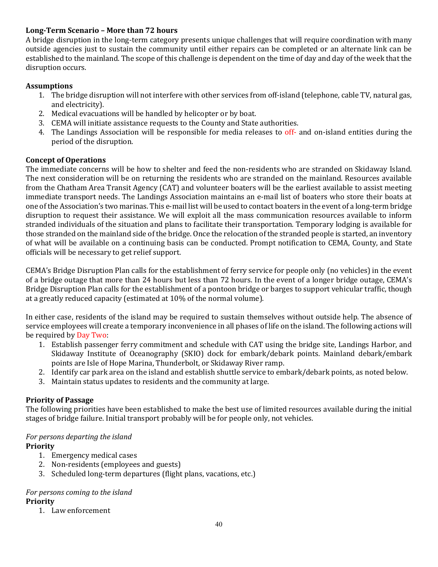#### **Long-Term Scenario – More than 72 hours**

A bridge disruption in the long-term category presents unique challenges that will require coordination with many outside agencies just to sustain the community until either repairs can be completed or an alternate link can be established to the mainland. The scope of this challenge is dependent on the time of day and day of the week that the disruption occurs.

#### **Assumptions**

- 1. The bridge disruption will not interfere with other services from off-island (telephone, cable TV, natural gas, and electricity).
- 2. Medical evacuations will be handled by helicopter or by boat.
- 3. CEMA will initiate assistance requests to the County and State authorities.
- 4. The Landings Association will be responsible for media releases to off- and on-island entities during the period of the disruption.

#### **Concept of Operations**

The immediate concerns will be how to shelter and feed the non-residents who are stranded on Skidaway Island. The next consideration will be on returning the residents who are stranded on the mainland. Resources available from the Chatham Area Transit Agency (CAT) and volunteer boaters will be the earliest available to assist meeting immediate transport needs. The Landings Association maintains an e-mail list of boaters who store their boats at one of the Association's two marinas. This e-mail list will be used to contact boaters in the event of a long-term bridge disruption to request their assistance. We will exploit all the mass communication resources available to inform stranded individuals of the situation and plans to facilitate their transportation. Temporary lodging is available for those stranded on the mainland side of the bridge. Once the relocation of the stranded people is started, an inventory of what will be available on a continuing basis can be conducted. Prompt notification to CEMA, County, and State officials will be necessary to get relief support.

CEMA's Bridge Disruption Plan calls for the establishment of ferry service for people only (no vehicles) in the event of a bridge outage that more than 24 hours but less than 72 hours. In the event of a longer bridge outage, CEMA's Bridge Disruption Plan calls for the establishment of a pontoon bridge or barges to support vehicular traffic, though at a greatly reduced capacity (estimated at 10% of the normal volume).

In either case, residents of the island may be required to sustain themselves without outside help. The absence of service employees will create a temporary inconvenience in all phases of life on the island. The following actions will be required by Day Two:

- 1. Establish passenger ferry commitment and schedule with CAT using the bridge site, Landings Harbor, and Skidaway Institute of Oceanography (SKIO) dock for embark/debark points. Mainland debark/embark points are Isle of Hope Marina, Thunderbolt, or Skidaway River ramp.
- 2. Identify car park area on the island and establish shuttle service to embark/debark points, as noted below.
- 3. Maintain status updates to residents and the community at large.

# **Priority of Passage**

The following priorities have been established to make the best use of limited resources available during the initial stages of bridge failure. Initial transport probably will be for people only, not vehicles.

#### *For persons departing the island*

#### **Priority**

- 1. Emergency medical cases
- 2. Non-residents (employees and guests)
- 3. Scheduled long-term departures (flight plans, vacations, etc.)

# *For persons coming to the island*

#### **Priority**

1. Law enforcement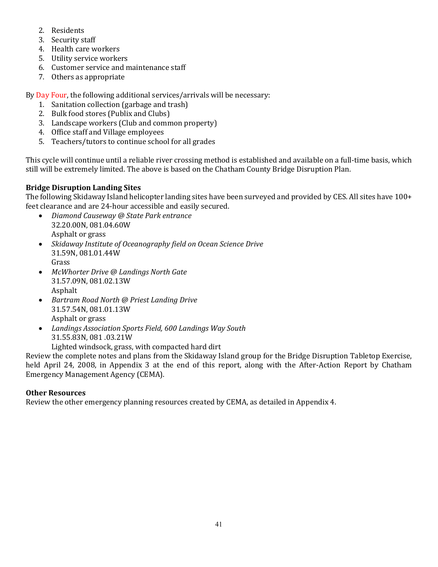- 2. Residents
- 3. Security staff
- 4. Health care workers
- 5. Utility service workers
- 6. Customer service and maintenance staff
- 7. Others as appropriate

By Day Four, the following additional services/arrivals will be necessary:

- 1. Sanitation collection (garbage and trash)
- 2. Bulk food stores (Publix and Clubs)
- 3. Landscape workers (Club and common property)
- 4. Office staff and Village employees
- 5. Teachers/tutors to continue school for all grades

This cycle will continue until a reliable river crossing method is established and available on a full-time basis, which still will be extremely limited. The above is based on the Chatham County Bridge Disruption Plan.

# **Bridge Disruption Landing Sites**

The following Skidaway Island helicopter landing sites have been surveyed and provided by CES. All sites have 100+ feet clearance and are 24-hour accessible and easily secured.<br>• Diamond Causeway @ State Park entrance

- *Diamond Causeway @ State Park entrance* 32.20.00N, 081.04.60W Asphalt or grass
- *Skidaway Institute of Oceanography field on Ocean Science Drive* 31.59N, 081.01.44W Grass
- *McWhorter Drive @ Landings North Gate* 31.57.09N, 081.02.13W Asphalt
- *Bartram Road North @ Priest Landing Drive* 31.57.54N, 081.01.13W Asphalt or grass
- *Landings Association Sports Field, 600 Landings Way South* 31.55.83N, 081 .03.21W

Lighted windsock, grass, with compacted hard dirt

Review the complete notes and plans from the Skidaway Island group for the Bridge Disruption Tabletop Exercise, held April 24, 2008, in Appendix 3 at the end of this report, along with the After-Action Report by Chatham Emergency Management Agency (CEMA).

# **Other Resources**

Review the other emergency planning resources created by CEMA, as detailed in Appendix 4.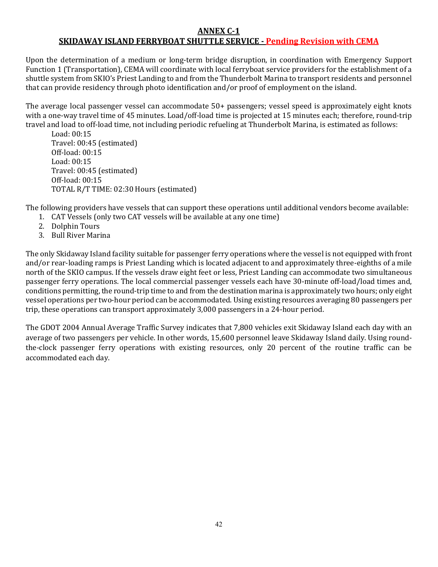#### **ANNEX C-1 SKIDAWAY ISLAND FERRYBOAT SHUTTLE SERVICE - Pending Revision with CEMA**

Upon the determination of a medium or long-term bridge disruption, in coordination with Emergency Support Function 1 (Transportation), CEMA will coordinate with local ferryboat service providers for the establishment of a shuttle system from SKIO's Priest Landing to and from the Thunderbolt Marina to transport residents and personnel that can provide residency through photo identification and/or proof of employment on the island.

The average local passenger vessel can accommodate 50+ passengers; vessel speed is approximately eight knots with a one-way travel time of 45 minutes. Load/off-load time is projected at 15 minutes each; therefore, round-trip travel and load to off-load time, not including periodic refueling at Thunderbolt Marina, is estimated as follows:

Load: 00:15 Travel: 00:45 (estimated) Off-load: 00:15 Load: 00:15 Travel: 00:45 (estimated) Off-load: 00:15 TOTAL R/T TIME: 02:30 Hours (estimated)

The following providers have vessels that can support these operations until additional vendors become available:

- 1. CAT Vessels (only two CAT vessels will be available at any one time)
- 2. Dolphin Tours
- 3. Bull River Marina

The only Skidaway Island facility suitable for passenger ferry operations where the vessel is not equipped with front and/or rear-loading ramps is Priest Landing which is located adjacent to and approximately three-eighths of a mile north of the SKIO campus. If the vessels draw eight feet or less, Priest Landing can accommodate two simultaneous passenger ferry operations. The local commercial passenger vessels each have 30-minute off-load/load times and, conditions permitting, the round-trip time to and from the destination marina is approximately two hours; only eight vessel operations per two-hour period can be accommodated. Using existing resources averaging 80 passengers per trip, these operations can transport approximately 3,000 passengers in a 24-hour period.

The GDOT 2004 Annual Average Traffic Survey indicates that 7,800 vehicles exit Skidaway Island each day with an average of two passengers per vehicle. In other words, 15,600 personnel leave Skidaway Island daily. Using roundthe-clock passenger ferry operations with existing resources, only 20 percent of the routine traffic can be accommodated each day.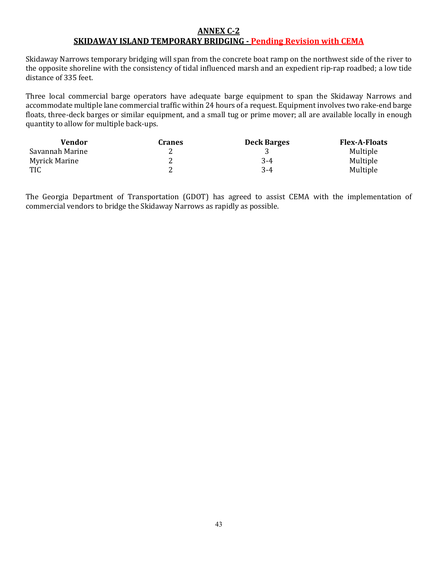#### **ANNEX C-2 SKIDAWAY ISLAND TEMPORARY BRIDGING - Pending Revision with CEMA**

Skidaway Narrows temporary bridging will span from the concrete boat ramp on the northwest side of the river to the opposite shoreline with the consistency of tidal influenced marsh and an expedient rip-rap roadbed; a low tide distance of 335 feet.

Three local commercial barge operators have adequate barge equipment to span the Skidaway Narrows and accommodate multiple lane commercial traffic within 24 hours of a request. Equipment involves two rake-end barge floats, three-deck barges or similar equipment, and a small tug or prime mover; all are available locally in enough quantity to allow for multiple back-ups.

| Vendor          | <b>Cranes</b> | <b>Deck Barges</b> | <b>Flex-A-Floats</b> |
|-----------------|---------------|--------------------|----------------------|
| Savannah Marine | ∼             |                    | Multiple             |
| Myrick Marine   | ∼             | 3-4                | Multiple             |
| <b>TIC</b>      | ∼             | $3-4$              | Multiple             |

The Georgia Department of Transportation (GDOT) has agreed to assist CEMA with the implementation of commercial vendors to bridge the Skidaway Narrows as rapidly as possible.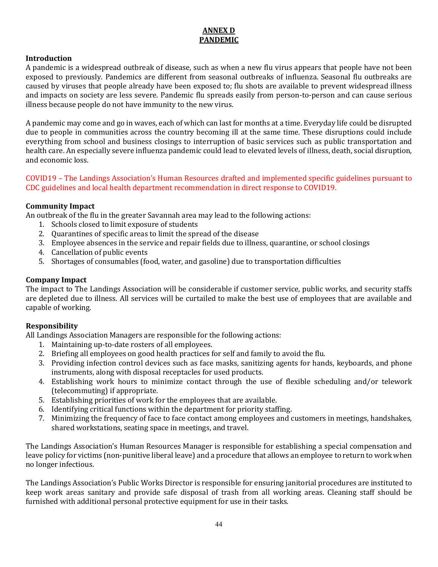# **ANNEX D PANDEMIC**

#### **Introduction**

A pandemic is a widespread outbreak of disease, such as when a new flu virus appears that people have not been exposed to previously. Pandemics are different from seasonal outbreaks of influenza. Seasonal flu outbreaks are caused by viruses that people already have been exposed to; flu shots are available to prevent widespread illness and impacts on society are less severe. Pandemic flu spreads easily from person-to-person and can cause serious illness because people do not have immunity to the new virus.

A pandemic may come and go in waves, each of which can last for months at a time. Everyday life could be disrupted due to people in communities across the country becoming ill at the same time. These disruptions could include everything from school and business closings to interruption of basic services such as public transportation and health care. An especially severe influenza pandemic could lead to elevated levels of illness, death, social disruption, and economic loss.

#### COVID19 – The Landings Association's Human Resources drafted and implemented specific guidelines pursuant to CDC guidelines and local health department recommendation in direct response to COVID19.

#### **Community Impact**

An outbreak of the flu in the greater Savannah area may lead to the following actions:

- 1. Schools closed to limit exposure of students
- 2. Quarantines of specific areas to limit the spread of the disease
- 3. Employee absences in the service and repair fields due to illness, quarantine, or school closings
- 4. Cancellation of public events
- 5. Shortages of consumables (food, water, and gasoline) due to transportation difficulties

#### **Company Impact**

The impact to The Landings Association will be considerable if customer service, public works, and security staffs are depleted due to illness. All services will be curtailed to make the best use of employees that are available and capable of working.

#### **Responsibility**

All Landings Association Managers are responsible for the following actions:

- 1. Maintaining up-to-date rosters of all employees.
- 2. Briefing all employees on good health practices for self and family to avoid the flu.
- 3. Providing infection control devices such as face masks, sanitizing agents for hands, keyboards, and phone instruments, along with disposal receptacles for used products.
- 4. Establishing work hours to minimize contact through the use of flexible scheduling and/or telework (telecommuting) if appropriate.
- 5. Establishing priorities of work for the employees that are available.
- 6. Identifying critical functions within the department for priority staffing.
- 7. Minimizing the frequency of face to face contact among employees and customers in meetings, handshakes, shared workstations, seating space in meetings, and travel.

The Landings Association's Human Resources Manager is responsible for establishing a special compensation and leave policy for victims (non-punitive liberal leave) and a procedure that allows an employee to return to work when no longer infectious.

The Landings Association's Public Works Director is responsible for ensuring janitorial procedures are instituted to keep work areas sanitary and provide safe disposal of trash from all working areas. Cleaning staff should be furnished with additional personal protective equipment for use in their tasks.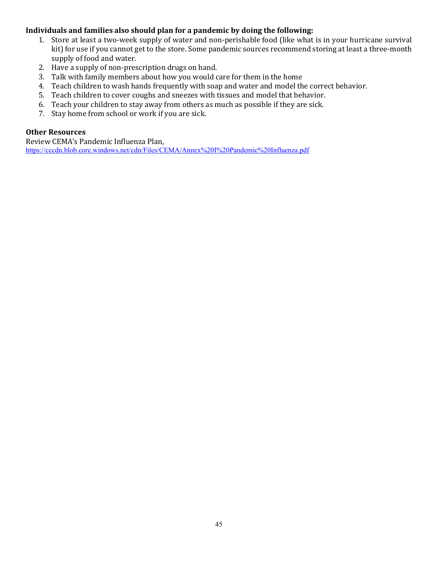#### **Individuals and families also should plan for a pandemic by doing the following:**

- 1. Store at least a two-week supply of water and non-perishable food (like what is in your hurricane survival kit) for use if you cannot get to the store. Some pandemic sources recommend storing at least a three-month supply of food and water.
- 2. Have a supply of non-prescription drugs on hand.
- 3. Talk with family members about how you would care for them in the home
- 4. Teach children to wash hands frequently with soap and water and model the correct behavior.
- 5. Teach children to cover coughs and sneezes with tissues and model that behavior.
- 6. Teach your children to stay away from others as much as possible if they are sick.
- 7. Stay home from school or work if you are sick.

#### **Other Resources**

Review CEMA's Pandemic Influenza Plan, <https://cccdn.blob.core.windows.net/cdn/Files/CEMA/Annex%20I%20Pandemic%20Influenza.pdf>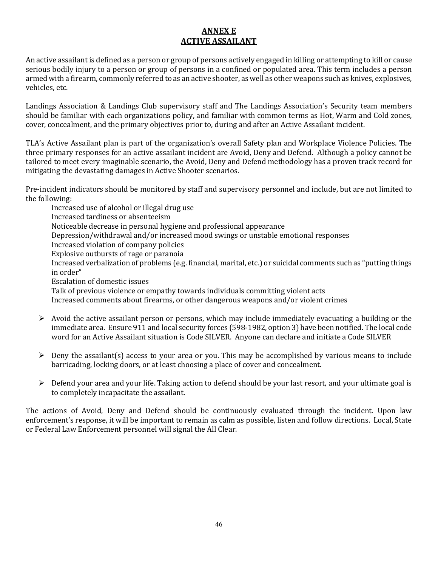# **ANNEX E ACTIVE ASSAILANT**

An active assailant is defined as a person or group of persons actively engaged in killing or attempting to kill or cause serious bodily injury to a person or group of persons in a confined or populated area. This term includes a person armed with a firearm, commonly referred to as an active shooter, as well as other weapons such as knives, explosives, vehicles, etc.

Landings Association & Landings Club supervisory staff and The Landings Association's Security team members should be familiar with each organizations policy, and familiar with common terms as Hot, Warm and Cold zones, cover, concealment, and the primary objectives prior to, during and after an Active Assailant incident.

TLA's Active Assailant plan is part of the organization's overall Safety plan and Workplace Violence Policies. The three primary responses for an active assailant incident are Avoid, Deny and Defend. Although a policy cannot be tailored to meet every imaginable scenario, the Avoid, Deny and Defend methodology has a proven track record for mitigating the devastating damages in Active Shooter scenarios.

Pre-incident indicators should be monitored by staff and supervisory personnel and include, but are not limited to the following:

Increased use of alcohol or illegal drug use Increased tardiness or absenteeism Noticeable decrease in personal hygiene and professional appearance Depression/withdrawal and/or increased mood swings or unstable emotional responses Increased violation of company policies Explosive outbursts of rage or paranoia Increased verbalization of problems (e.g. financial, marital, etc.) or suicidal comments such as "putting things in order" Escalation of domestic issues Talk of previous violence or empathy towards individuals committing violent acts Increased comments about firearms, or other dangerous weapons and/or violent crimes

- $\triangleright$  Avoid the active assailant person or persons, which may include immediately evacuating a building or the immediate area. Ensure 911 and local security forces (598-1982, option 3) have been notified. The local code word for an Active Assailant situation is Code SILVER. Anyone can declare and initiate a Code SILVER
- $\triangleright$  Deny the assailant(s) access to your area or you. This may be accomplished by various means to include barricading, locking doors, or at least choosing a place of cover and concealment.
- $\triangleright$  Defend your area and your life. Taking action to defend should be your last resort, and your ultimate goal is to completely incapacitate the assailant.

The actions of Avoid, Deny and Defend should be continuously evaluated through the incident. Upon law enforcement's response, it will be important to remain as calm as possible, listen and follow directions. Local, State or Federal Law Enforcement personnel will signal the All Clear.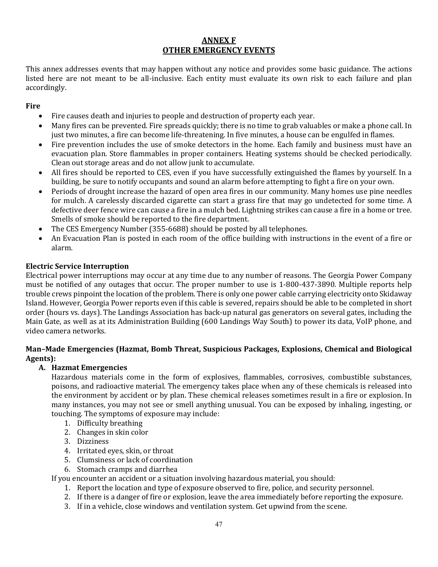# **ANNEX F OTHER EMERGENCY EVENTS**

This annex addresses events that may happen without any notice and provides some basic guidance. The actions listed here are not meant to be all-inclusive. Each entity must evaluate its own risk to each failure and plan accordingly.

#### **Fire**

- Fire causes death and injuries to people and destruction of property each year.
- Many fires can be prevented. Fire spreads quickly; there is no time to grab valuables or make a phone call. In just two minutes, a fire can become life-threatening. In five minutes, a house can be engulfed in flames.
- Fire prevention includes the use of smoke detectors in the home. Each family and business must have an evacuation plan. Store flammables in proper containers. Heating systems should be checked periodically. Clean out storage areas and do not allow junk to accumulate.
- All fires should be reported to CES, even if you have successfully extinguished the flames by yourself. In a building, be sure to notify occupants and sound an alarm before attempting to fight a fire on your own.
- Periods of drought increase the hazard of open area fires in our community. Many homes use pine needles for mulch. A carelessly discarded cigarette can start a grass fire that may go undetected for some time. A defective deer fence wire can cause a fire in a mulch bed. Lightning strikes can cause a fire in a home or tree. Smells of smoke should be reported to the fire department.
- The CES Emergency Number (355-6688) should be posted by all telephones.
- An Evacuation Plan is posted in each room of the office building with instructions in the event of a fire or alarm.

#### **Electric Service Interruption**

Electrical power interruptions may occur at any time due to any number of reasons. The Georgia Power Company must be notified of any outages that occur. The proper number to use is 1-800-437-3890. Multiple reports help trouble crews pinpoint the location of the problem. There is only one power cable carrying electricity onto Skidaway Island. However, Georgia Power reports even if this cable is severed, repairs should be able to be completed in short order (hours vs. days). The Landings Association has back-up natural gas generators on several gates, including the Main Gate, as well as at its Administration Building (600 Landings Way South) to power its data, VoIP phone, and video camera networks.

#### **Man–Made Emergencies (Hazmat, Bomb Threat, Suspicious Packages, Explosions, Chemical and Biological Agents):**

#### **A. Hazmat Emergencies**

Hazardous materials come in the form of explosives, flammables, corrosives, combustible substances, poisons, and radioactive material. The emergency takes place when any of these chemicals is released into the environment by accident or by plan. These chemical releases sometimes result in a fire or explosion. In many instances, you may not see or smell anything unusual. You can be exposed by inhaling, ingesting, or touching. The symptoms of exposure may include:

- 1. Difficulty breathing
- 2. Changes in skin color
- 3. Dizziness
- 4. Irritated eyes, skin, or throat
- 5. Clumsiness or lack of coordination
- 6. Stomach cramps and diarrhea

If you encounter an accident or a situation involving hazardous material, you should:

- 1. Report the location and type of exposure observed to fire, police, and security personnel.
- 2. If there is a danger of fire or explosion, leave the area immediately before reporting the exposure.
- 3. If in a vehicle, close windows and ventilation system. Get upwind from the scene.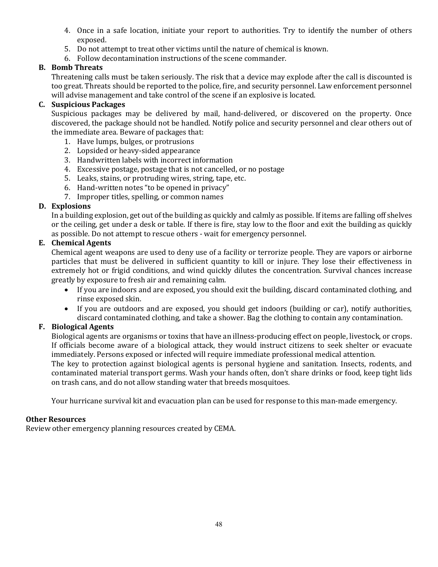- 4. Once in a safe location, initiate your report to authorities. Try to identify the number of others exposed.
- 5. Do not attempt to treat other victims until the nature of chemical is known.
- 6. Follow decontamination instructions of the scene commander.

#### **B. Bomb Threats**

Threatening calls must be taken seriously. The risk that a device may explode after the call is discounted is too great. Threats should be reported to the police, fire, and security personnel. Law enforcement personnel will advise management and take control of the scene if an explosive is located.

#### **C. Suspicious Packages**

Suspicious packages may be delivered by mail, hand-delivered, or discovered on the property. Once discovered, the package should not be handled. Notify police and security personnel and clear others out of the immediate area. Beware of packages that:

- 1. Have lumps, bulges, or protrusions
- 2. Lopsided or heavy-sided appearance
- 3. Handwritten labels with incorrect information
- 4. Excessive postage, postage that is not cancelled, or no postage
- 5. Leaks, stains, or protruding wires, string, tape, etc.
- 6. Hand-written notes "to be opened in privacy"
- 7. Improper titles, spelling, or common names

#### **D. Explosions**

In a building explosion, get out of the building as quickly and calmly as possible. If items are falling off shelves or the ceiling, get under a desk or table. If there is fire, stay low to the floor and exit the building as quickly as possible. Do not attempt to rescue others - wait for emergency personnel.

#### **E. Chemical Agents**

Chemical agent weapons are used to deny use of a facility or terrorize people. They are vapors or airborne particles that must be delivered in sufficient quantity to kill or injure. They lose their effectiveness in extremely hot or frigid conditions, and wind quickly dilutes the concentration. Survival chances increase greatly by exposure to fresh air and remaining calm.

- If you are indoors and are exposed, you should exit the building, discard contaminated clothing, and rinse exposed skin.
- If you are outdoors and are exposed, you should get indoors (building or car), notify authorities, discard contaminated clothing, and take a shower. Bag the clothing to contain any contamination.

#### **F. Biological Agents**

Biological agents are organisms or toxins that have an illness-producing effect on people, livestock, or crops. If officials become aware of a biological attack, they would instruct citizens to seek shelter or evacuate immediately. Persons exposed or infected will require immediate professional medical attention.

The key to protection against biological agents is personal hygiene and sanitation. Insects, rodents, and contaminated material transport germs. Wash your hands often, don't share drinks or food, keep tight lids on trash cans, and do not allow standing water that breeds mosquitoes.

Your hurricane survival kit and evacuation plan can be used for response to this man-made emergency.

#### **Other Resources**

Review other emergency planning resources created by CEMA.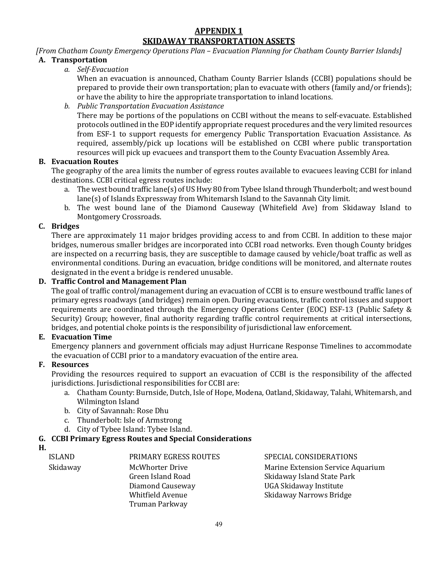#### **APPENDIX 1 SKIDAWAY TRANSPORTATION ASSETS**

#### *[From Chatham County Emergency Operations Plan – Evacuation Planning for Chatham County Barrier Islands]* **A. Transportation**

*a. Self-Evacuation*

When an evacuation is announced, Chatham County Barrier Islands (CCBI) populations should be prepared to provide their own transportation; plan to evacuate with others (family and/or friends); or have the ability to hire the appropriate transportation to inland locations.

*b. Public Transportation Evacuation Assistance*

There may be portions of the populations on CCBI without the means to self-evacuate. Established protocols outlined in the EOP identify appropriate request procedures and the very limited resources from ESF-1 to support requests for emergency Public Transportation Evacuation Assistance. As required, assembly/pick up locations will be established on CCBI where public transportation resources will pick up evacuees and transport them to the County Evacuation Assembly Area.

#### **B. Evacuation Routes**

The geography of the area limits the number of egress routes available to evacuees leaving CCBI for inland destinations. CCBI critical egress routes include:

- a. The west bound traffic lane(s) of US Hwy 80 from Tybee Island through Thunderbolt; and west bound lane(s) of Islands Expressway from Whitemarsh Island to the Savannah City limit.
- b. The west bound lane of the Diamond Causeway (Whitefield Ave) from Skidaway Island to Montgomery Crossroads.

# **C. Bridges**

There are approximately 11 major bridges providing access to and from CCBI. In addition to these major bridges, numerous smaller bridges are incorporated into CCBI road networks. Even though County bridges are inspected on a recurring basis, they are susceptible to damage caused by vehicle/boat traffic as well as environmental conditions. During an evacuation, bridge conditions will be monitored, and alternate routes designated in the event a bridge is rendered unusable.

#### **D. Traffic Control and Management Plan**

The goal of traffic control/management during an evacuation of CCBI is to ensure westbound traffic lanes of primary egress roadways (and bridges) remain open. During evacuations, traffic control issues and support requirements are coordinated through the Emergency Operations Center (EOC) ESF-13 (Public Safety & Security) Group; however, final authority regarding traffic control requirements at critical intersections, bridges, and potential choke points is the responsibility of jurisdictional law enforcement.

#### **E. Evacuation Time**

Emergency planners and government officials may adjust Hurricane Response Timelines to accommodate the evacuation of CCBI prior to a mandatory evacuation of the entire area.

#### **F. Resources**

Providing the resources required to support an evacuation of CCBI is the responsibility of the affected jurisdictions. Jurisdictional responsibilities for CCBI are:

- a. Chatham County: Burnside, Dutch, Isle of Hope, Modena, Oatland, Skidaway, Talahi, Whitemarsh, and Wilmington Island
- b. City of Savannah: Rose Dhu
- c. Thunderbolt: Isle of Armstrong
- d. City of Tybee Island: Tybee Island.

# **G. CCBI Primary Egress Routes and Special Considerations**

**H.**

Skidaway McWhorter Drive Green Island Road Diamond Causeway Whitfield Avenue Truman Parkway

ISLAND PRIMARY EGRESS ROUTES SPECIAL CONSIDERATIONS Marine Extension Service Aquarium Skidaway Island State Park UGA Skidaway Institute Skidaway Narrows Bridge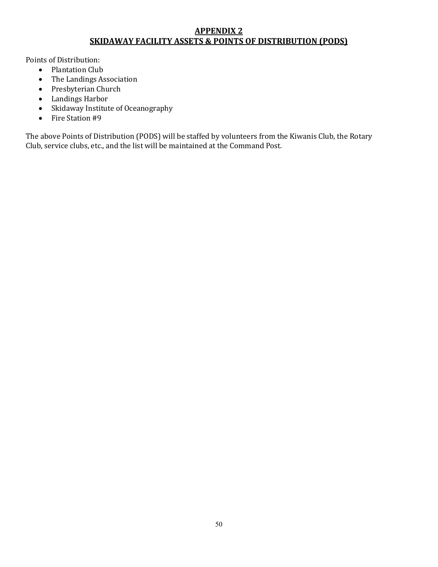## **APPENDIX 2 SKIDAWAY FACILITY ASSETS & POINTS OF DISTRIBUTION (PODS)**

Points of Distribution:<br>• Plantation Club

- Plantation Club<br>• The Landings As
- The Landings Association
- Presbyterian Church
- Landings Harbor
- Skidaway Institute of Oceanography<br>• Fire Station #9
- Fire Station #9

The above Points of Distribution (PODS) will be staffed by volunteers from the Kiwanis Club, the Rotary Club, service clubs, etc., and the list will be maintained at the Command Post.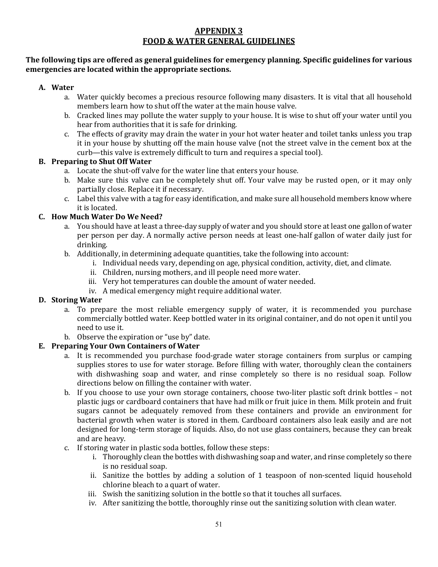# **APPENDIX 3 FOOD & WATER GENERAL GUIDELINES**

#### **The following tips are offered as general guidelines for emergency planning. Specific guidelines for various emergencies are located within the appropriate sections.**

#### **A. Water**

- a. Water quickly becomes a precious resource following many disasters. It is vital that all household members learn how to shut off the water at the main house valve.
- b. Cracked lines may pollute the water supply to your house. It is wise to shut off your water until you hear from authorities that it is safe for drinking.
- c. The effects of gravity may drain the water in your hot water heater and toilet tanks unless you trap it in your house by shutting off the main house valve (not the street valve in the cement box at the curb—this valve is extremely difficult to turn and requires a special tool).

#### **B. Preparing to Shut Off Water**

- a. Locate the shut-off valve for the water line that enters your house.
- b. Make sure this valve can be completely shut off. Your valve may be rusted open, or it may only partially close. Replace it if necessary.
- c. Label this valve with a tag for easy identification, and make sure all household members know where it is located.

# **C. How Much Water Do We Need?**

- a. You should have at least a three-day supply of water and you should store at least one gallon of water per person per day. A normally active person needs at least one-half gallon of water daily just for drinking.
- b. Additionally, in determining adequate quantities, take the following into account:
	- i. Individual needs vary, depending on age, physical condition, activity, diet, and climate.
	- ii. Children, nursing mothers, and ill people need more water.
	- iii. Very hot temperatures can double the amount of water needed.
	- iv. A medical emergency might require additional water.

#### **D. Storing Water**

- a. To prepare the most reliable emergency supply of water, it is recommended you purchase commercially bottled water. Keep bottled water in its original container, and do not open it until you need to use it.
- b. Observe the expiration or "use by" date.

# **E. Preparing Your Own Containers of Water**

- a. It is recommended you purchase food-grade water storage containers from surplus or camping supplies stores to use for water storage. Before filling with water, thoroughly clean the containers with dishwashing soap and water, and rinse completely so there is no residual soap. Follow directions below on filling the container with water.
- b. If you choose to use your own storage containers, choose two-liter plastic soft drink bottles not plastic jugs or cardboard containers that have had milk or fruit juice in them. Milk protein and fruit sugars cannot be adequately removed from these containers and provide an environment for bacterial growth when water is stored in them. Cardboard containers also leak easily and are not designed for long-term storage of liquids. Also, do not use glass containers, because they can break and are heavy.
- c. If storing water in plastic soda bottles, follow these steps:
	- i. Thoroughly clean the bottles with dishwashing soap and water, and rinse completely so there is no residual soap.
	- ii. Sanitize the bottles by adding a solution of 1 teaspoon of non-scented liquid household chlorine bleach to a quart of water.
	- iii. Swish the sanitizing solution in the bottle so that it touches all surfaces.
	- iv. After sanitizing the bottle, thoroughly rinse out the sanitizing solution with clean water.